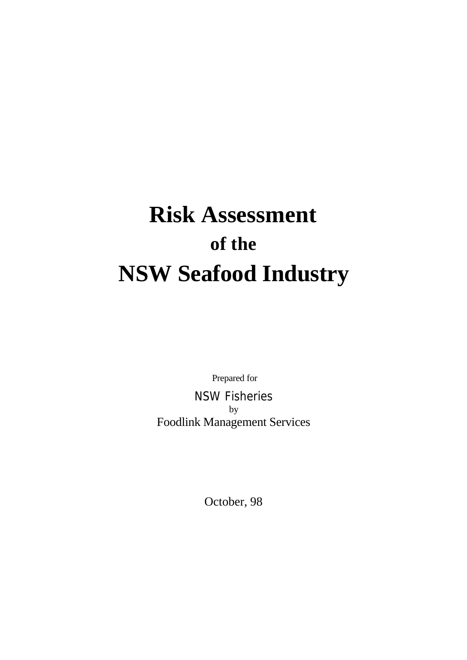# **Risk Assessment of the NSW Seafood Industry**

Prepared for NSW Fisheries by Foodlink Management Services

October, 98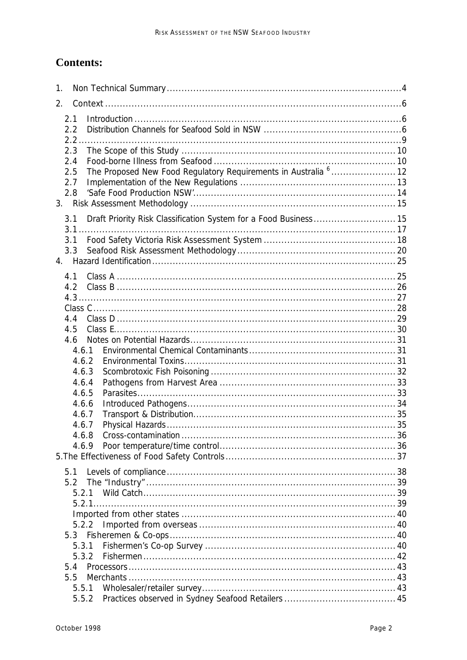# **Contents:**

| 1.             |                                                                            |  |
|----------------|----------------------------------------------------------------------------|--|
| 2.             |                                                                            |  |
| 2.1            |                                                                            |  |
| 2.2            |                                                                            |  |
| 2.2.           |                                                                            |  |
| 2.3            |                                                                            |  |
| 2.4            |                                                                            |  |
| 2.5            | The Proposed New Food Regulatory Requirements in Australia <sup>6</sup> 12 |  |
| 2.7            |                                                                            |  |
| 2.8            |                                                                            |  |
|                |                                                                            |  |
| 3.1            | Draft Priority Risk Classification System for a Food Business 15           |  |
| $3.1\dots$     |                                                                            |  |
| 3.1            |                                                                            |  |
| 3.3            |                                                                            |  |
|                |                                                                            |  |
| 4.1            |                                                                            |  |
| 4.2            |                                                                            |  |
|                |                                                                            |  |
| 4.4            |                                                                            |  |
| 4.5            |                                                                            |  |
| 4.6            |                                                                            |  |
| 4.6.1          |                                                                            |  |
| 4.6.2          |                                                                            |  |
| 4.6.3          |                                                                            |  |
| 4.6.4          |                                                                            |  |
| 4.6.5          |                                                                            |  |
| 4.6.6          |                                                                            |  |
| 4.6.7          |                                                                            |  |
| 4.6.7<br>4.6.8 |                                                                            |  |
| 4.6.9          |                                                                            |  |
|                |                                                                            |  |
|                |                                                                            |  |
| 5.1            |                                                                            |  |
| 5.2<br>5.2.1   |                                                                            |  |
|                |                                                                            |  |
|                |                                                                            |  |
| 5.2.2          |                                                                            |  |
| 5.3            |                                                                            |  |
| 5.3.1          |                                                                            |  |
| 5.3.2          |                                                                            |  |
| 5.4            |                                                                            |  |
| 5.5            |                                                                            |  |
| 5.5.1          |                                                                            |  |
| 5.5.2          |                                                                            |  |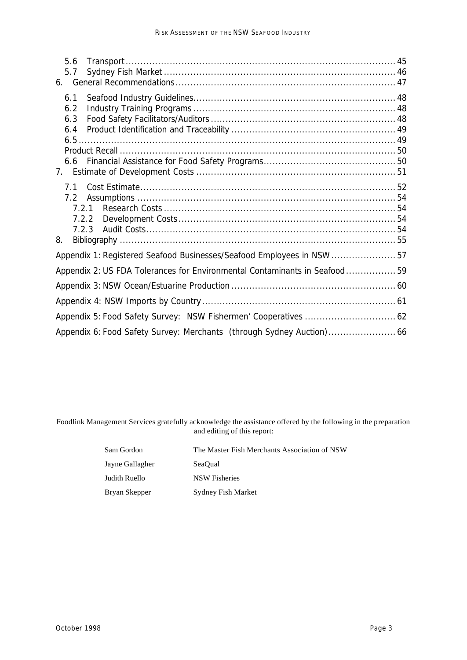| 5.6                                                                        |  |
|----------------------------------------------------------------------------|--|
| 5.7                                                                        |  |
| 6.                                                                         |  |
| 6.1                                                                        |  |
| 6.2                                                                        |  |
| 6.3                                                                        |  |
| 6.4                                                                        |  |
|                                                                            |  |
|                                                                            |  |
|                                                                            |  |
| 7.                                                                         |  |
| 7.1                                                                        |  |
| 7.2                                                                        |  |
| 721                                                                        |  |
| 7.2.2                                                                      |  |
| 7.2.3                                                                      |  |
| 8.                                                                         |  |
| Appendix 1: Registered Seafood Businesses/Seafood Employees in NSW 57      |  |
| Appendix 2: US FDA Tolerances for Environmental Contaminants in Seafood 59 |  |
|                                                                            |  |
|                                                                            |  |
|                                                                            |  |
|                                                                            |  |

Foodlink Management Services gratefully acknowledge the assistance offered by the following in the preparation and editing of this report:

| Sam Gordon      | The Master Fish Merchants Association of NSW |
|-----------------|----------------------------------------------|
| Jayne Gallagher | SeaOual                                      |
| Judith Ruello   | NSW Fisheries                                |
| Bryan Skepper   | Sydney Fish Market                           |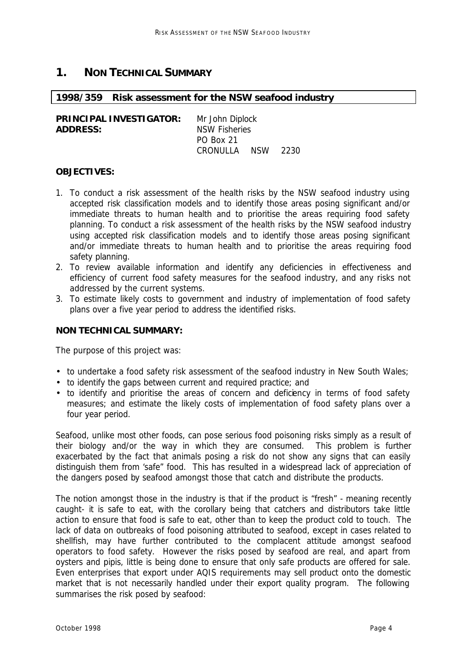## **1. NON TECHNICAL SUMMARY**

#### **1998/359 Risk assessment for the NSW seafood industry**

**PRINCIPAL INVESTIGATOR:** Mr John Diplock **ADDRESS:** NSW Fisheries PO Box 21 CRONULLA NSW 2230

#### **OBJECTIVES:**

- 1. To conduct a risk assessment of the health risks by the NSW seafood industry using accepted risk classification models and to identify those areas posing significant and/or immediate threats to human health and to prioritise the areas requiring food safety planning. To conduct a risk assessment of the health risks by the NSW seafood industry using accepted risk classification models and to identify those areas posing significant and/or immediate threats to human health and to prioritise the areas requiring food safety planning.
- 2. To review available information and identify any deficiencies in effectiveness and efficiency of current food safety measures for the seafood industry, and any risks not addressed by the current systems.
- 3. To estimate likely costs to government and industry of implementation of food safety plans over a five year period to address the identified risks.

### **NON TECHNICAL SUMMARY:**

The purpose of this project was:

- to undertake a food safety risk assessment of the seafood industry in New South Wales;
- to identify the gaps between current and required practice; and
- to identify and prioritise the areas of concern and deficiency in terms of food safety measures; and estimate the likely costs of implementation of food safety plans over a four year period.

Seafood, unlike most other foods, can pose serious food poisoning risks simply as a result of their biology and/or the way in which they are consumed. This problem is further exacerbated by the fact that animals posing a risk do not show any signs that can easily distinguish them from 'safe" food. This has resulted in a widespread lack of appreciation of the dangers posed by seafood amongst those that catch and distribute the products.

The notion amongst those in the industry is that if the product is "fresh" - meaning recently caught- it is safe to eat, with the corollary being that catchers and distributors take little action to ensure that food is safe to eat, other than to keep the product cold to touch. The lack of data on outbreaks of food poisoning attributed to seafood, except in cases related to shellfish, may have further contributed to the complacent attitude amongst seafood operators to food safety. However the risks posed by seafood are real, and apart from oysters and pipis, little is being done to ensure that only safe products are offered for sale. Even enterprises that export under AQIS requirements may sell product onto the domestic market that is not necessarily handled under their export quality program. The following summarises the risk posed by seafood: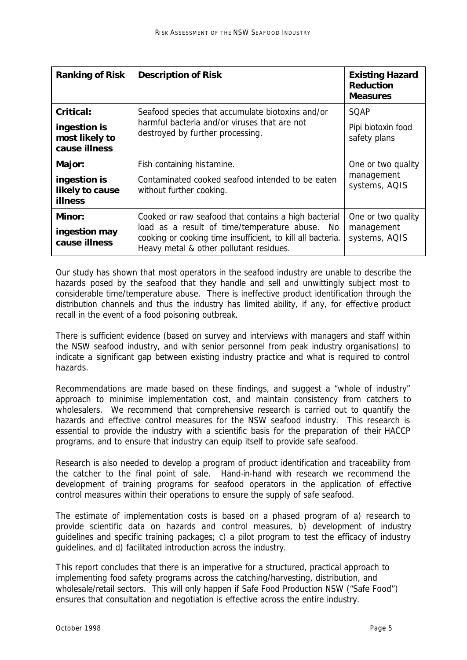| <b>Ranking of Risk</b>                                       | <b>Description of Risk</b>                                                                                                                                                                                          | <b>Existing Hazard</b><br><b>Reduction</b><br><b>Measures</b> |
|--------------------------------------------------------------|---------------------------------------------------------------------------------------------------------------------------------------------------------------------------------------------------------------------|---------------------------------------------------------------|
| Critical:<br>ingestion is<br>most likely to<br>cause illness | Seafood species that accumulate biotoxins and/or<br>harmful bacteria and/or viruses that are not<br>destroyed by further processing.                                                                                | SQAP<br>Pipi biotoxin food<br>safety plans                    |
| Major:<br>ingestion is<br>likely to cause<br><b>illness</b>  | Fish containing histamine.<br>Contaminated cooked seafood intended to be eaten<br>without further cooking.                                                                                                          | One or two quality<br>management<br>systems, AQIS             |
| Minor:<br>ingestion may<br>cause illness                     | Cooked or raw seafood that contains a high bacterial<br>load as a result of time/temperature abuse.<br>No<br>cooking or cooking time insufficient, to kill all bacteria.<br>Heavy metal & other pollutant residues. | One or two quality<br>management<br>systems, AQIS             |

Our study has shown that most operators in the seafood industry are unable to describe the hazards posed by the seafood that they handle and sell and unwittingly subject most to considerable time/temperature abuse. There is ineffective product identification through the distribution channels and thus the industry has limited ability, if any, for effective product recall in the event of a food poisoning outbreak.

There is sufficient evidence (based on survey and interviews with managers and staff within the NSW seafood industry, and with senior personnel from peak industry organisations) to indicate a significant gap between existing industry practice and what is required to control hazards.

Recommendations are made based on these findings, and suggest a "whole of industry" approach to minimise implementation cost, and maintain consistency from catchers to wholesalers. We recommend that comprehensive research is carried out to quantify the hazards and effective control measures for the NSW seafood industry. This research is essential to provide the industry with a scientific basis for the preparation of their HACCP programs, and to ensure that industry can equip itself to provide safe seafood.

Research is also needed to develop a program of product identification and traceability from the catcher to the final point of sale. Hand-in-hand with research we recommend the development of training programs for seafood operators in the application of effective control measures within their operations to ensure the supply of safe seafood.

The estimate of implementation costs is based on a phased program of a) research to provide scientific data on hazards and control measures, b) development of industry guidelines and specific training packages; c) a pilot program to test the efficacy of industry guidelines, and d) facilitated introduction across the industry.

This report concludes that there is an imperative for a structured, practical approach to implementing food safety programs across the catching/harvesting, distribution, and wholesale/retail sectors. This will only happen if Safe Food Production NSW ("Safe Food") ensures that consultation and negotiation is effective across the entire industry.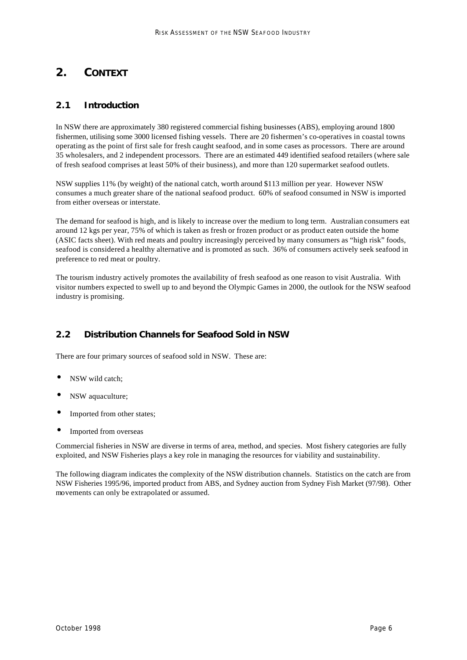# **2. CONTEXT**

## *2.1 Introduction*

In NSW there are approximately 380 registered commercial fishing businesses (ABS), employing around 1800 fishermen, utilising some 3000 licensed fishing vessels. There are 20 fishermen's co-operatives in coastal towns operating as the point of first sale for fresh caught seafood, and in some cases as processors. There are around 35 wholesalers, and 2 independent processors. There are an estimated 449 identified seafood retailers (where sale of fresh seafood comprises at least 50% of their business), and more than 120 supermarket seafood outlets.

NSW supplies 11% (by weight) of the national catch, worth around \$113 million per year. However NSW consumes a much greater share of the national seafood product. 60% of seafood consumed in NSW is imported from either overseas or interstate.

The demand for seafood is high, and is likely to increase over the medium to long term. Australian consumers eat around 12 kgs per year, 75% of which is taken as fresh or frozen product or as product eaten outside the home (ASIC facts sheet). With red meats and poultry increasingly perceived by many consumers as "high risk" foods, seafood is considered a healthy alternative and is promoted as such. 36% of consumers actively seek seafood in preference to red meat or poultry.

The tourism industry actively promotes the availability of fresh seafood as one reason to visit Australia. With visitor numbers expected to swell up to and beyond the Olympic Games in 2000, the outlook for the NSW seafood industry is promising.

# *2.2 Distribution Channels for Seafood Sold in NSW*

There are four primary sources of seafood sold in NSW. These are:

- NSW wild catch;
- NSW aquaculture;
- Imported from other states;
- Imported from overseas

Commercial fisheries in NSW are diverse in terms of area, method, and species. Most fishery categories are fully exploited, and NSW Fisheries plays a key role in managing the resources for viability and sustainability.

The following diagram indicates the complexity of the NSW distribution channels. Statistics on the catch are from NSW Fisheries 1995/96, imported product from ABS, and Sydney auction from Sydney Fish Market (97/98). Other movements can only be extrapolated or assumed.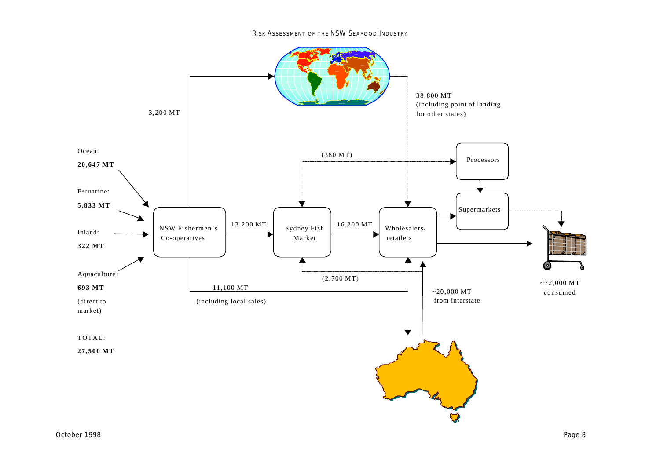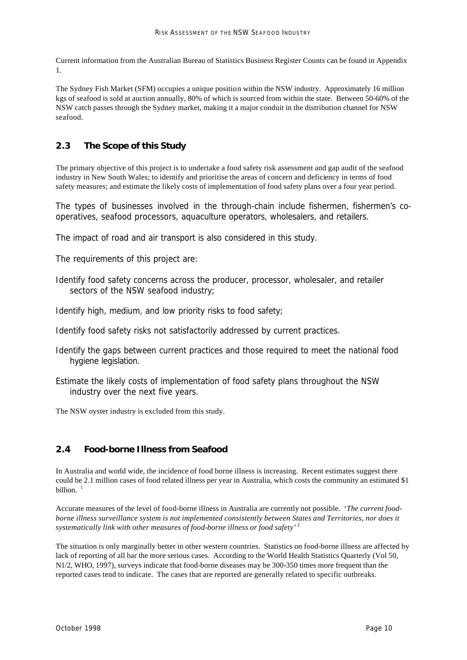Current information from the Australian Bureau of Statistics Business Register Counts can be found in Appendix 1.

The Sydney Fish Market (SFM) occupies a unique position within the NSW industry. Approximately 16 million kgs of seafood is sold at auction annually, 80% of which is sourced from within the state. Between 50-60% of the NSW catch passes through the Sydney market, making it a major conduit in the distribution channel for NSW seafood.

# *2.3 The Scope of this Study*

The primary objective of this project is to undertake a food safety risk assessment and gap audit of the seafood industry in New South Wales; to identify and prioritise the areas of concern and deficiency in terms of food safety measures; and estimate the likely costs of implementation of food safety plans over a four year period.

The types of businesses involved in the through-chain include fishermen, fishermen's cooperatives, seafood processors, aquaculture operators, wholesalers, and retailers.

The impact of road and air transport is also considered in this study.

The requirements of this project are:

Identify food safety concerns across the producer, processor, wholesaler, and retailer sectors of the NSW seafood industry;

Identify high, medium, and low priority risks to food safety;

- Identify food safety risks not satisfactorily addressed by current practices.
- Identify the gaps between current practices and those required to meet the national food hygiene legislation.
- Estimate the likely costs of implementation of food safety plans throughout the NSW industry over the next five years.

The NSW oyster industry is excluded from this study.

### *2.4 Food-borne Illness from Seafood*

In Australia and world wide, the incidence of food borne illness is increasing. Recent estimates suggest there could be 2.1 million cases of food related illness per year in Australia, which costs the community an estimated \$1 billion. $1$ 

Accurate measures of the level of food-borne illness in Australia are currently not possible. '*The current food*borne illness surveillance system is not implemented consistently between States and Territories, nor does it *systematically link with other measures of food-borne illness or food safety'* <sup>2</sup>

The situation is only marginally better in other western countries. Statistics on food-borne illness are affected by lack of reporting of all bar the more serious cases. According to the World Health Statistics Quarterly (Vol 50, N1/2, WHO, 1997), surveys indicate that food-borne diseases may be 300-350 times more frequent than the reported cases tend to indicate. The cases that are reported are generally related to specific outbreaks.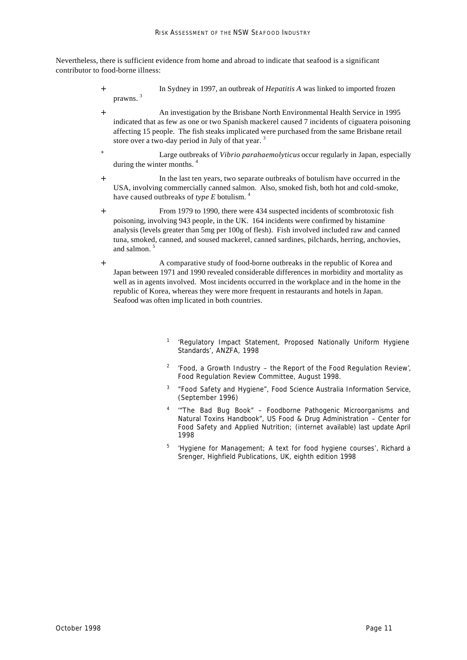Nevertheless, there is sufficient evidence from home and abroad to indicate that seafood is a significant contributor to food-borne illness:

- + In Sydney in 1997, an outbreak of *Hepatitis A* was linked to imported frozen prawns. 3
- + An investigation by the Brisbane North Environmental Health Service in 1995 indicated that as few as one or two Spanish mackerel caused 7 incidents of ciguatera poisoning affecting 15 people. The fish steaks implicated were purchased from the same Brisbane retail store over a two-day period in July of that year.  $3$
- + Large outbreaks of *Vibrio parahaemolyticus* occur regularly in Japan, especially during the winter months.<sup>4</sup>
- + In the last ten years, two separate outbreaks of botulism have occurred in the USA, involving commercially canned salmon. Also, smoked fish, both hot and cold-smoke, have caused outbreaks of *type E* botulism. <sup>4</sup>
- + From 1979 to 1990, there were 434 suspected incidents of scombrotoxic fish poisoning, involving 943 people, in the UK. 164 incidents were confirmed by histamine analysis (levels greater than 5mg per 100g of flesh). Fish involved included raw and canned tuna, smoked, canned, and soused mackerel, canned sardines, pilchards, herring, anchovies, and salmon.<sup>5</sup>
- + A comparative study of food-borne outbreaks in the republic of Korea and Japan between 1971 and 1990 revealed considerable differences in morbidity and mortality as well as in agents involved. Most incidents occurred in the workplace and in the home in the republic of Korea, whereas they were more frequent in restaurants and hotels in Japan. Seafood was often imp licated in both countries.
	- 1 '*Regulatory Impact Statement, Proposed Nationally Uniform Hygiene Standards'*, ANZFA, 1998
	- 2 *'Food, a Growth Industry – the Report of the Food Regulation Review'*, Food Regulation Review Committee, August 1998.
	- 3 *"Food Safety and Hygiene",* Food Science Australia Information Service, (September 1996)
	- 4 *'"The Bad Bug Book" Foodborne Pathogenic Microorganisms and Natural Toxins Handbook",* US Food & Drug Administration – Center for Food Safety and Applied Nutrition; (internet available) last update April 1998
	- 5 *'Hygiene for Management; A text for food hygiene courses'*, Richard a Srenger, Highfield Publications, UK, eighth edition 1998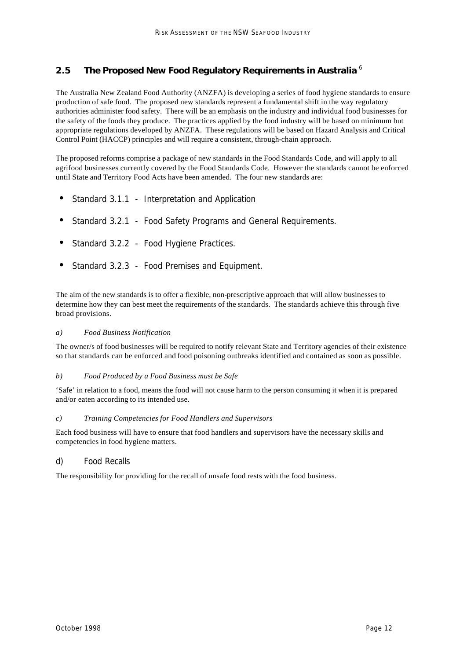### *2.5 The Proposed New Food Regulatory Requirements in Australia* <sup>6</sup>

The Australia New Zealand Food Authority (ANZFA) is developing a series of food hygiene standards to ensure production of safe food. The proposed new standards represent a fundamental shift in the way regulatory authorities administer food safety. There will be an emphasis on the industry and individual food businesses for the safety of the foods they produce. The practices applied by the food industry will be based on minimum but appropriate regulations developed by ANZFA. These regulations will be based on Hazard Analysis and Critical Control Point (HACCP) principles and will require a consistent, through-chain approach.

The proposed reforms comprise a package of new standards in the Food Standards Code, and will apply to all agrifood businesses currently covered by the Food Standards Code. However the standards cannot be enforced until State and Territory Food Acts have been amended. The four new standards are:

- Standard 3.1.1 Interpretation and Application
- Standard 3.2.1 Food Safety Programs and General Requirements.
- Standard 3.2.2 Food Hygiene Practices.
- Standard 3.2.3 Food Premises and Equipment.

The aim of the new standards is to offer a flexible, non-prescriptive approach that will allow businesses to determine how they can best meet the requirements of the standards. The standards achieve this through five broad provisions.

#### *a) Food Business Notification*

The owner/s of food businesses will be required to notify relevant State and Territory agencies of their existence so that standards can be enforced and food poisoning outbreaks identified and contained as soon as possible.

#### *b) Food Produced by a Food Business must be Safe*

'Safe' in relation to a food, means the food will not cause harm to the person consuming it when it is prepared and/or eaten according to its intended use.

#### *c) Training Competencies for Food Handlers and Supervisors*

Each food business will have to ensure that food handlers and supervisors have the necessary skills and competencies in food hygiene matters.

#### *d) Food Recalls*

The responsibility for providing for the recall of unsafe food rests with the food business.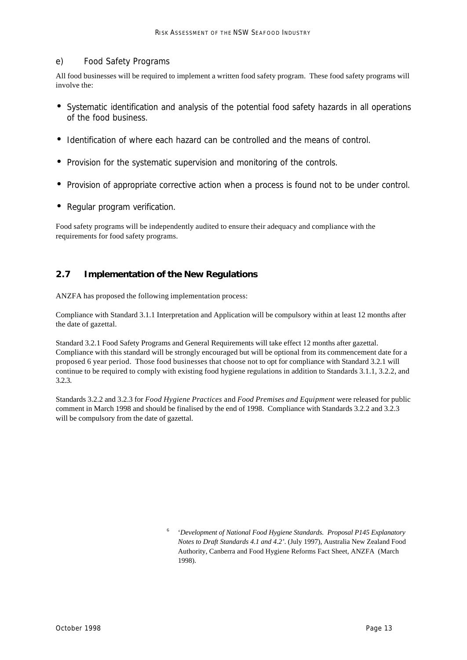#### *e) Food Safety Programs*

All food businesses will be required to implement a written food safety program. These food safety programs will involve the:

- Systematic identification and analysis of the potential food safety hazards in all operations of the food business.
- Identification of where each hazard can be controlled and the means of control.
- Provision for the systematic supervision and monitoring of the controls.
- Provision of appropriate corrective action when a process is found not to be under control.
- Regular program verification.

Food safety programs will be independently audited to ensure their adequacy and compliance with the requirements for food safety programs.

### *2.7 Implementation of the New Regulations*

ANZFA has proposed the following implementation process:

Compliance with Standard 3.1.1 Interpretation and Application will be compulsory within at least 12 months after the date of gazettal.

Standard 3.2.1 Food Safety Programs and General Requirements will take effect 12 months after gazettal. Compliance with this standard will be strongly encouraged but will be optional from its commencement date for a proposed 6 year period. Those food businesses that choose not to opt for compliance with Standard 3.2.1 will continue to be required to comply with existing food hygiene regulations in addition to Standards 3.1.1, 3.2.2, and 3.2.3.

Standards 3.2.2 and 3.2.3 for *Food Hygiene Practices* and *Food Premises and Equipment* were released for public comment in March 1998 and should be finalised by the end of 1998. Compliance with Standards 3.2.2 and 3.2.3 will be compulsory from the date of gazettal.

<sup>6</sup> '*Development of National Food Hygiene Standards. Proposal P145 Explanatory Notes to Draft Standards 4.1 and 4.2'*. (July 1997), Australia New Zealand Food Authority, Canberra and Food Hygiene Reforms Fact Sheet, ANZFA (March 1998).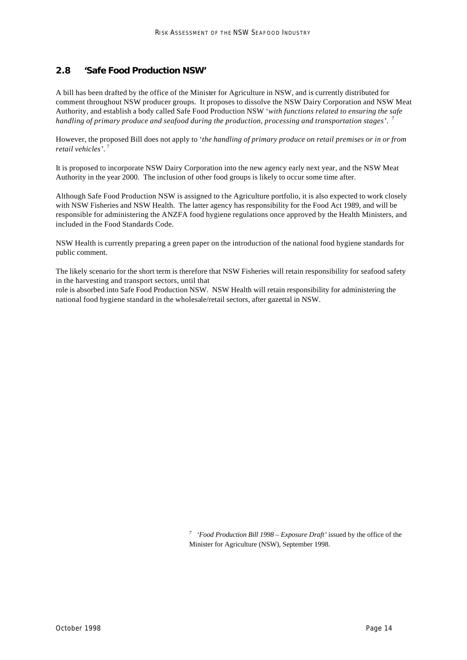### *2.8 'Safe Food Production NSW'*

A bill has been drafted by the office of the Minister for Agriculture in NSW, and is currently distributed for comment throughout NSW producer groups. It proposes to dissolve the NSW Dairy Corporation and NSW Meat Authority, and establish a body called Safe Food Production NSW '*with functions related to ensuring the safe handling of primary produce and seafood during the production, processing and transportation stages'*. 7

However, the proposed Bill does not apply to '*the handling of primary produce on retail premises or in or from retail vehicles'*. 7

It is proposed to incorporate NSW Dairy Corporation into the new agency early next year, and the NSW Meat Authority in the year 2000. The inclusion of other food groups is likely to occur some time after.

Although Safe Food Production NSW is assigned to the Agriculture portfolio, it is also expected to work closely with NSW Fisheries and NSW Health. The latter agency has responsibility for the Food Act 1989, and will be responsible for administering the ANZFA food hygiene regulations once approved by the Health Ministers, and included in the Food Standards Code.

NSW Health is currently preparing a green paper on the introduction of the national food hygiene standards for public comment.

The likely scenario for the short term is therefore that NSW Fisheries will retain responsibility for seafood safety in the harvesting and transport sectors, until that

role is absorbed into Safe Food Production NSW. NSW Health will retain responsibility for administering the national food hygiene standard in the wholesale/retail sectors, after gazettal in NSW.

> *7 'Food Production Bill 1998 – Exposure Draft'* issued by the office of the Minister for Agriculture (NSW), September 1998.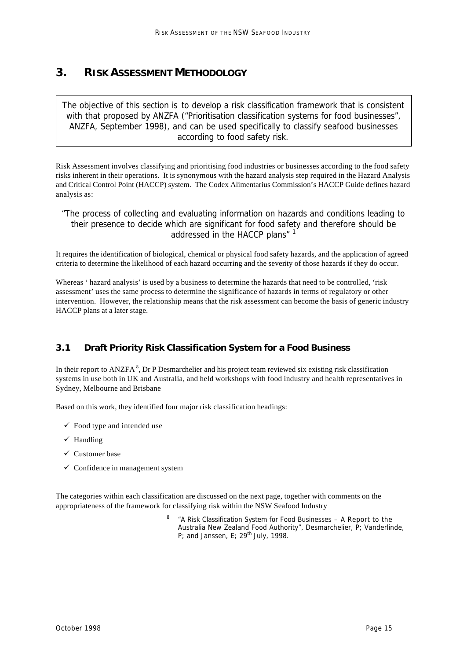# **3. RISK ASSESSMENT METHODOLOGY**

*The objective of this section is to develop a risk classification framework that is consistent with that proposed by ANZFA ("Prioritisation classification systems for food businesses", ANZFA, September 1998), and can be used specifically to classify seafood businesses according to food safety risk.*

Risk Assessment involves classifying and prioritising food industries or businesses according to the food safety risks inherent in their operations. It is synonymous with the hazard analysis step required in the Hazard Analysis and Critical Control Point (HACCP) system. The Codex Alimentarius Commission's HACCP Guide defines hazard analysis as:

*"The process of collecting and evaluating information on hazards and conditions leading to their presence to decide which are significant for food safety and therefore should be addressed in the HACCP plans"* <sup>1</sup>

It requires the identification of biological, chemical or physical food safety hazards, and the application of agreed criteria to determine the likelihood of each hazard occurring and the severity of those hazards if they do occur.

Whereas ' hazard analysis' is used by a business to determine the hazards that need to be controlled, 'risk assessment' uses the same process to determine the significance of hazards in terms of regulatory or other intervention. However, the relationship means that the risk assessment can become the basis of generic industry HACCP plans at a later stage.

# *3.1 Draft Priority Risk Classification System for a Food Business*

In their report to ANZFA<sup>8</sup>, Dr P Desmarchelier and his project team reviewed six existing risk classification systems in use both in UK and Australia, and held workshops with food industry and health representatives in Sydney, Melbourne and Brisbane

Based on this work, they identified four major risk classification headings:

- $\checkmark$  Food type and intended use
- $\checkmark$  Handling
- $\checkmark$  Customer base
- $\checkmark$  Confidence in management system

The categories within each classification are discussed on the next page, together with comments on the appropriateness of the framework for classifying risk within the NSW Seafood Industry

> 8 "A Risk Classification System for Food Businesses – A Report to the Australia New Zealand Food Authority", Desmarchelier, P; Vanderlinde, P; and Janssen, E; 29<sup>th</sup> July, 1998.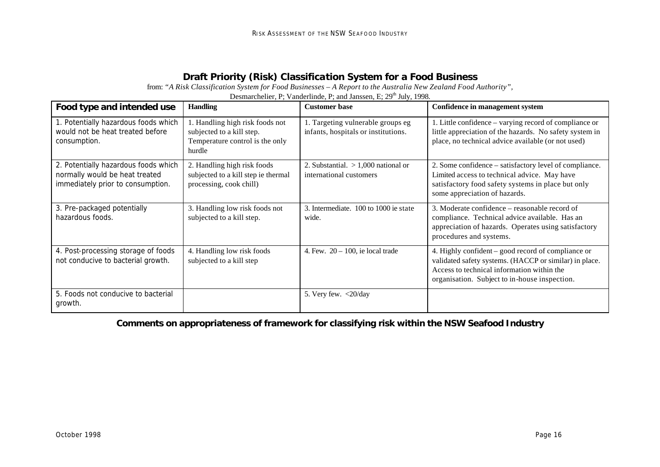# **Draft Priority (Risk) Classification System for a Food Business**

from: *"A Risk Classification System for Food Businesses – A Report to the Australia New Zealand Food Authority",*

| Food type and intended use                                                                                  | <b>Handling</b>                                                                                           | <b>Customer base</b>                                                     | Confidence in management system                                                                                                                                                                             |
|-------------------------------------------------------------------------------------------------------------|-----------------------------------------------------------------------------------------------------------|--------------------------------------------------------------------------|-------------------------------------------------------------------------------------------------------------------------------------------------------------------------------------------------------------|
| 1. Potentially hazardous foods which<br>would not be heat treated before<br>consumption.                    | 1. Handling high risk foods not<br>subjected to a kill step.<br>Temperature control is the only<br>hurdle | 1. Targeting vulnerable groups eg<br>infants, hospitals or institutions. | 1. Little confidence – varying record of compliance or<br>little appreciation of the hazards. No safety system in<br>place, no technical advice available (or not used)                                     |
| 2. Potentially hazardous foods which<br>normally would be heat treated<br>immediately prior to consumption. | 2. Handling high risk foods<br>subjected to a kill step ie thermal<br>processing, cook chill)             | 2. Substantial. $> 1,000$ national or<br>international customers         | 2. Some confidence – satisfactory level of compliance.<br>Limited access to technical advice. May have<br>satisfactory food safety systems in place but only<br>some appreciation of hazards.               |
| 3. Pre-packaged potentially<br>hazardous foods.                                                             | 3. Handling low risk foods not<br>subjected to a kill step.                                               | 3. Intermediate. 100 to 1000 ie state<br>wide.                           | 3. Moderate confidence – reasonable record of<br>compliance. Technical advice available. Has an<br>appreciation of hazards. Operates using satisfactory<br>procedures and systems.                          |
| 4. Post-processing storage of foods<br>not conducive to bacterial growth.                                   | 4. Handling low risk foods<br>subjected to a kill step                                                    | 4. Few. $20 - 100$ , ie local trade                                      | 4. Highly confident – good record of compliance or<br>validated safety systems. (HACCP or similar) in place.<br>Access to technical information within the<br>organisation. Subject to in-house inspection. |
| 5. Foods not conducive to bacterial<br>growth.                                                              |                                                                                                           | 5. Very few. $\langle 20/day$                                            |                                                                                                                                                                                                             |

Desmarchelier, P; Vanderlinde, P; and Janssen, E; 29<sup>th</sup> July, 1998.

**Comments on appropriateness of framework for classifying risk within the NSW Seafood Industry**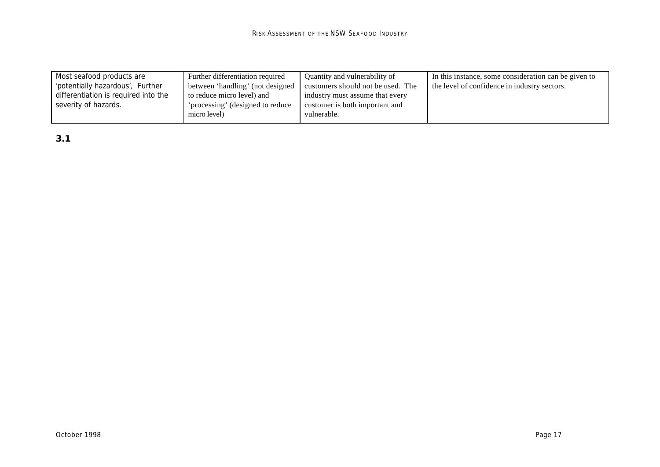| Most seafood products are            | Further differentiation required | Quantity and vulnerability of     | In this instance, some consideration can be given to |
|--------------------------------------|----------------------------------|-----------------------------------|------------------------------------------------------|
| 'potentially hazardous', Further     | between 'handling' (not designed | customers should not be used. The | the level of confidence in industry sectors.         |
| differentiation is required into the | to reduce micro level) and       | industry must assume that every   |                                                      |
| severity of hazards.                 | 'processing' (designed to reduce | customer is both important and    |                                                      |
|                                      | micro level)                     | vulnerable.                       |                                                      |
|                                      |                                  |                                   |                                                      |

*3.1*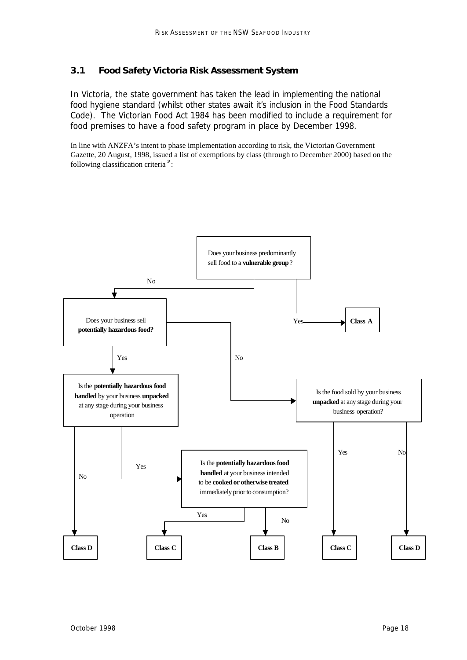### *3.1 Food Safety Victoria Risk Assessment System*

In Victoria, the state government has taken the lead in implementing the national food hygiene standard (whilst other states await it's inclusion in the Food Standards Code). The Victorian Food Act 1984 has been modified to include a requirement for food premises to have a food safety program in place by December 1998.

In line with ANZFA's intent to phase implementation according to risk, the Victorian Government Gazette, 20 August, 1998, issued a list of exemptions by class (through to December 2000) based on the following classification criteria *<sup>9</sup>* :

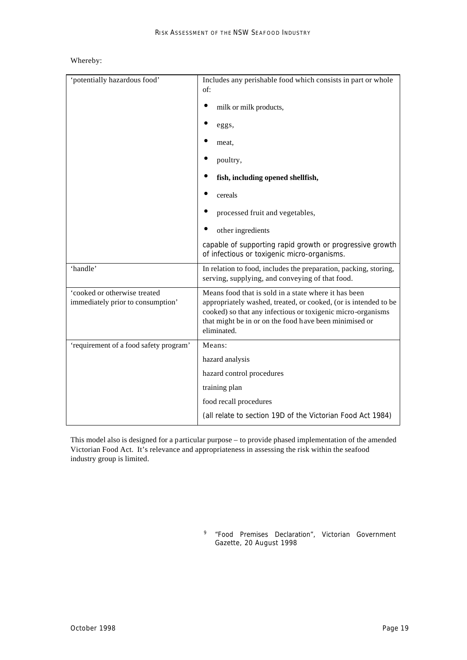#### Whereby:

| 'potentially hazardous food'                                      | Includes any perishable food which consists in part or whole<br>of:                                                                                                                                                                                             |
|-------------------------------------------------------------------|-----------------------------------------------------------------------------------------------------------------------------------------------------------------------------------------------------------------------------------------------------------------|
|                                                                   | milk or milk products,                                                                                                                                                                                                                                          |
|                                                                   | eggs,                                                                                                                                                                                                                                                           |
|                                                                   | meat,                                                                                                                                                                                                                                                           |
|                                                                   | poultry,                                                                                                                                                                                                                                                        |
|                                                                   | fish, including opened shellfish,                                                                                                                                                                                                                               |
|                                                                   | cereals                                                                                                                                                                                                                                                         |
|                                                                   | processed fruit and vegetables,                                                                                                                                                                                                                                 |
|                                                                   | other ingredients                                                                                                                                                                                                                                               |
|                                                                   | capable of supporting rapid growth or progressive growth<br>of infectious or toxigenic micro-organisms.                                                                                                                                                         |
| 'handle'                                                          | In relation to food, includes the preparation, packing, storing,<br>serving, supplying, and conveying of that food.                                                                                                                                             |
| 'cooked or otherwise treated<br>immediately prior to consumption' | Means food that is sold in a state where it has been<br>appropriately washed, treated, or cooked, (or is intended to be<br>cooked) so that any infectious or toxigenic micro-organisms<br>that might be in or on the food have been minimised or<br>eliminated. |
| 'requirement of a food safety program'                            | Means:                                                                                                                                                                                                                                                          |
|                                                                   | hazard analysis                                                                                                                                                                                                                                                 |
|                                                                   | hazard control procedures                                                                                                                                                                                                                                       |
|                                                                   | training plan                                                                                                                                                                                                                                                   |
|                                                                   | food recall procedures                                                                                                                                                                                                                                          |
|                                                                   | (all relate to section 19D of the Victorian Food Act 1984)                                                                                                                                                                                                      |

This model also is designed for a particular purpose – to provide phased implementation of the amended Victorian Food Act. It's relevance and appropriateness in assessing the risk within the seafood industry group is limited.

> 9 *"Food Premises Declaration",* Victorian Government Gazette, 20 August 1998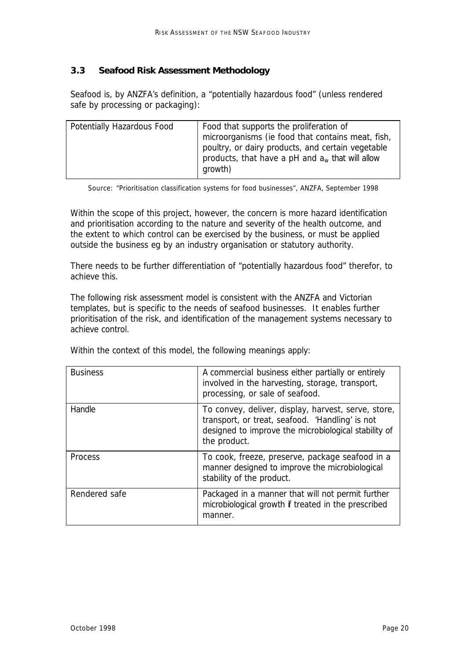## *3.3 Seafood Risk Assessment Methodology*

Seafood is, by ANZFA's definition, a "potentially hazardous food" (unless rendered safe by processing or packaging):

| Potentially Hazardous Food | Food that supports the proliferation of<br>microorganisms (ie food that contains meat, fish,<br>poultry, or dairy products, and certain vegetable<br>products, that have a pH and $a_w$ that will allow<br>growth) |
|----------------------------|--------------------------------------------------------------------------------------------------------------------------------------------------------------------------------------------------------------------|

Source: "Prioritisation classification systems for food businesses", ANZFA, September 1998

Within the scope of this project, however, the concern is more hazard identification and prioritisation according to the nature and severity of the health outcome, and the extent to which control can be exercised by the business, or must be applied outside the business eg by an industry organisation or statutory authority.

There needs to be further differentiation of "potentially hazardous food" therefor, to achieve this.

The following risk assessment model is consistent with the ANZFA and Victorian templates, but is specific to the needs of seafood businesses. It enables further prioritisation of the risk, and identification of the management systems necessary to achieve control.

| <b>Business</b> | A commercial business either partially or entirely<br>involved in the harvesting, storage, transport,<br>processing, or sale of seafood.                                       |
|-----------------|--------------------------------------------------------------------------------------------------------------------------------------------------------------------------------|
| Handle          | To convey, deliver, display, harvest, serve, store,<br>transport, or treat, seafood. 'Handling' is not<br>designed to improve the microbiological stability of<br>the product. |
| Process         | To cook, freeze, preserve, package seafood in a<br>manner designed to improve the microbiological<br>stability of the product.                                                 |
| Rendered safe   | Packaged in a manner that will not permit further<br>microbiological growth if treated in the prescribed<br>manner.                                                            |

Within the context of this model, the following meanings apply: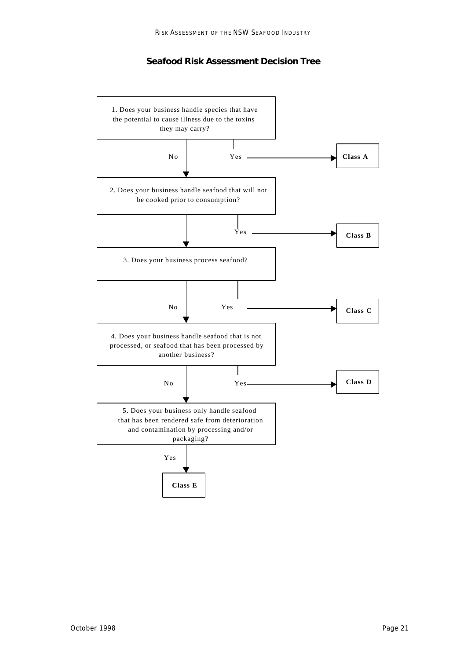#### **Seafood Risk Assessment Decision Tree**

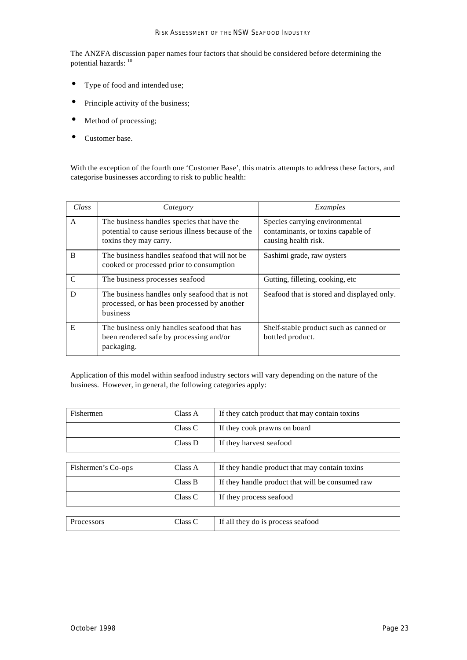The ANZFA discussion paper names four factors that should be considered before determining the potential hazards: <sup>10</sup>

- Type of food and intended use;
- Principle activity of the business;
- Method of processing;
- Customer base.

With the exception of the fourth one 'Customer Base', this matrix attempts to address these factors, and categorise businesses according to risk to public health:

| Class         | Category                                                                                                                  | Examples                                                                                     |
|---------------|---------------------------------------------------------------------------------------------------------------------------|----------------------------------------------------------------------------------------------|
| A             | The business handles species that have the<br>potential to cause serious illness because of the<br>toxins they may carry. | Species carrying environmental<br>contaminants, or toxins capable of<br>causing health risk. |
| B             | The business handles seafood that will not be<br>cooked or processed prior to consumption                                 | Sashimi grade, raw oysters                                                                   |
| $\mathcal{C}$ | The business processes seafood                                                                                            | Gutting, filleting, cooking, etc.                                                            |
| D             | The business handles only seafood that is not<br>processed, or has been processed by another<br>business                  | Seafood that is stored and displayed only.                                                   |
| E             | The business only handles seafood that has<br>been rendered safe by processing and/or<br>packaging.                       | Shelf-stable product such as canned or<br>bottled product.                                   |

Application of this model within seafood industry sectors will vary depending on the nature of the business. However, in general, the following categories apply:

| Fishermen          | Class A | If they catch product that may contain toxins    |
|--------------------|---------|--------------------------------------------------|
|                    | Class C | If they cook prawns on board                     |
|                    | Class D | If they harvest seafood                          |
|                    |         |                                                  |
| Fishermen's Co-ops | Class A | If they handle product that may contain toxins   |
|                    | Class B | If they handle product that will be consumed raw |
|                    | Class C | If they process seafood                          |
|                    |         |                                                  |
| Processors         | Class C | If all they do is process seafood                |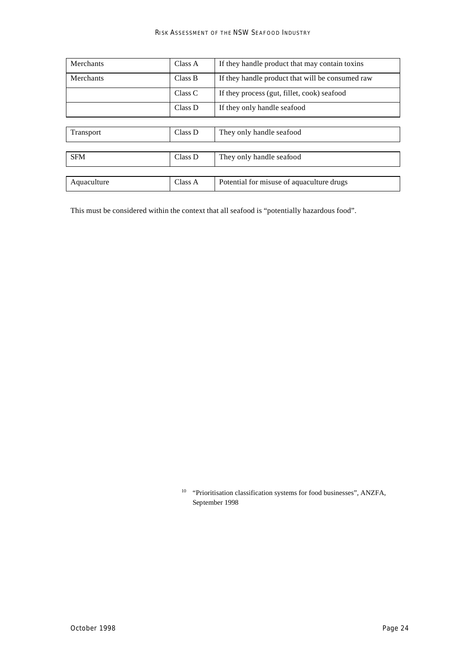| Merchants        | Class A | If they handle product that may contain toxing   |
|------------------|---------|--------------------------------------------------|
| Merchants        | Class B | If they handle product that will be consumed raw |
|                  | Class C | If they process (gut, fillet, cook) seafood      |
|                  | Class D | If they only handle seafood                      |
|                  |         |                                                  |
| <b>Transport</b> | Class D | They only handle seafood                         |
|                  |         |                                                  |
| <b>SFM</b>       | Class D | They only handle seafood                         |
|                  |         |                                                  |
| Aquaculture      | Class A | Potential for misuse of aquaculture drugs        |

This must be considered within the context that all seafood is "potentially hazardous food".

<sup>10</sup> "Prioritisation classification systems for food businesses", ANZFA, September 1998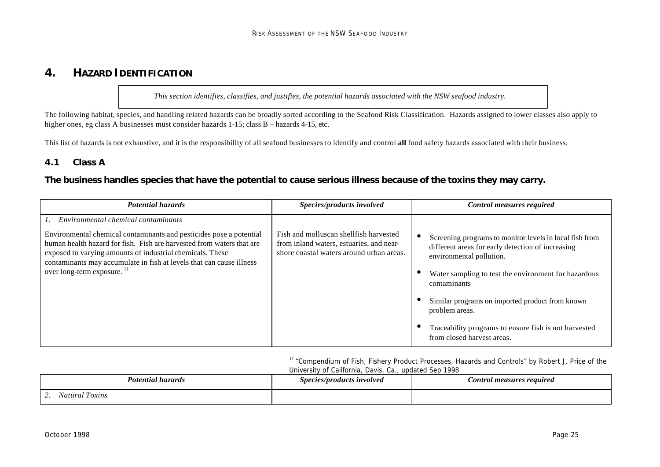# **4. HAZARD IDENTIFICATION**

*This section identifies, classifies, and justifies, the potential hazards associated with the NSW seafood industry.*

The following habitat, species, and handling related hazards can be broadly sorted according to the Seafood Risk Classification. Hazards assigned to lower classes also apply to higher ones, eg class A businesses must consider hazards 1-15; class B – hazards 4-15, etc.

This list of hazards is not exhaustive, and it is the responsibility of all seafood businesses to identify and control **all** food safety hazards associated with their business.

### *4.1 Class A*

### **The business handles species that have the potential to cause serious illness because of the toxins they may carry.**

| <b>Potential hazards</b>                                                                                                                                                                                                                                                                                                                                           | Species/products involved                                                                                                      | Control measures required                                                                                                                                                                                                                                                                                                                                                    |
|--------------------------------------------------------------------------------------------------------------------------------------------------------------------------------------------------------------------------------------------------------------------------------------------------------------------------------------------------------------------|--------------------------------------------------------------------------------------------------------------------------------|------------------------------------------------------------------------------------------------------------------------------------------------------------------------------------------------------------------------------------------------------------------------------------------------------------------------------------------------------------------------------|
| Environmental chemical contaminants<br>Environmental chemical contaminants and pesticides pose a potential<br>human health hazard for fish. Fish are harvested from waters that are<br>exposed to varying amounts of industrial chemicals. These<br>contaminants may accumulate in fish at levels that can cause illness<br>over long-term exposure. <sup>11</sup> | Fish and molluscan shellfish harvested<br>from inland waters, estuaries, and near-<br>shore coastal waters around urban areas. | Screening programs to monitor levels in local fish from<br>different areas for early detection of increasing<br>environmental pollution.<br>Water sampling to test the environment for hazardous<br>contaminants<br>Similar programs on imported product from known<br>problem areas.<br>Traceability programs to ensure fish is not harvested<br>from closed harvest areas. |

<sup>11</sup> "Compendium of Fish, Fishery Product Processes, Hazards and Controls" by Robert J. Price of the University of California, Davis, Ca., updated Sep 1998

| Potential hazards                         | Species/products involved | Control measures required |
|-------------------------------------------|---------------------------|---------------------------|
| $\sim$<br>Toxins<br>Natural<br>. <u>.</u> |                           |                           |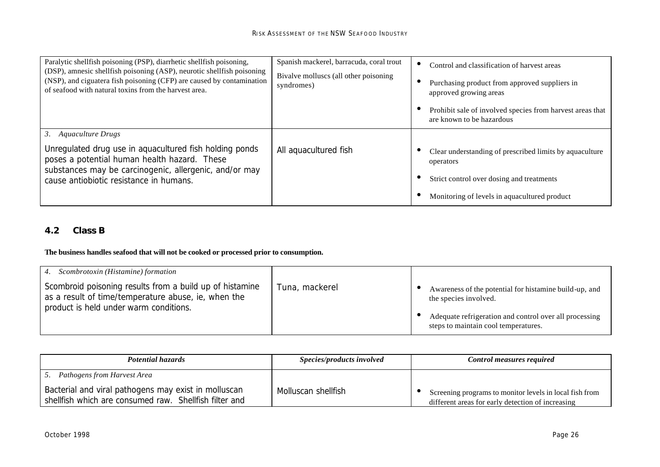| Paralytic shellfish poisoning (PSP), diarrhetic shellfish poisoning,<br>(DSP), amnesic shellfish poisoning (ASP), neurotic shellfish poisoning<br>(NSP), and ciguatera fish poisoning (CFP) are caused by contamination<br>of seafood with natural toxins from the harvest area. | Spanish mackerel, barracuda, coral trout<br>Bivalve molluscs (all other poisoning<br>syndromes) | Control and classification of harvest areas<br>Purchasing product from approved suppliers in<br>approved growing areas<br>Prohibit sale of involved species from harvest areas that<br>are known to be hazardous |
|----------------------------------------------------------------------------------------------------------------------------------------------------------------------------------------------------------------------------------------------------------------------------------|-------------------------------------------------------------------------------------------------|------------------------------------------------------------------------------------------------------------------------------------------------------------------------------------------------------------------|
| 3.<br>Aquaculture Drugs<br>Unregulated drug use in aquacultured fish holding ponds<br>poses a potential human health hazard. These<br>substances may be carcinogenic, allergenic, and/or may<br>cause antiobiotic resistance in humans.                                          | All aquacultured fish                                                                           | Clear understanding of prescribed limits by aquaculture<br>operators<br>Strict control over dosing and treatments<br>Monitoring of levels in aquacultured product                                                |

# *4.2 Class B*

#### **The business handles seafood that will not be cooked or processed prior to consumption.**

| 4. Scombrotoxin (Histamine) formation                                                                                                                     |                |                                                                                                                                                                                   |
|-----------------------------------------------------------------------------------------------------------------------------------------------------------|----------------|-----------------------------------------------------------------------------------------------------------------------------------------------------------------------------------|
| Scombroid poisoning results from a build up of histamine<br>as a result of time/temperature abuse, ie, when the<br>product is held under warm conditions. | Tuna, mackerel | Awareness of the potential for histamine build-up, and<br>the species involved.<br>Adequate refrigeration and control over all processing<br>steps to maintain cool temperatures. |

| <b>Potential hazards</b>                                                                                       | <i>Species/products involved</i> | Control measures required                                                                                    |
|----------------------------------------------------------------------------------------------------------------|----------------------------------|--------------------------------------------------------------------------------------------------------------|
| 5. Pathogens from Harvest Area                                                                                 |                                  |                                                                                                              |
| Bacterial and viral pathogens may exist in molluscan<br>shellfish which are consumed raw. Shellfish filter and | Molluscan shellfish              | Screening programs to monitor levels in local fish from<br>different areas for early detection of increasing |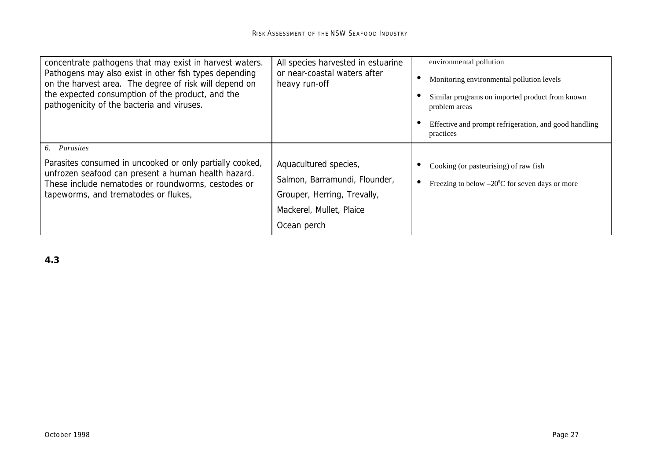| concentrate pathogens that may exist in harvest waters.<br>Pathogens may also exist in other fish types depending<br>on the harvest area. The degree of risk will depend on<br>the expected consumption of the product, and the<br>pathogenicity of the bacteria and viruses. | All species harvested in estuarine<br>or near-coastal waters after<br>heavy run-off                                              | environmental pollution<br>Monitoring environmental pollution levels<br>Similar programs on imported product from known<br>problem areas<br>Effective and prompt refrigeration, and good handling<br>practices |
|-------------------------------------------------------------------------------------------------------------------------------------------------------------------------------------------------------------------------------------------------------------------------------|----------------------------------------------------------------------------------------------------------------------------------|----------------------------------------------------------------------------------------------------------------------------------------------------------------------------------------------------------------|
| 6. Parasites<br>Parasites consumed in uncooked or only partially cooked,<br>unfrozen seafood can present a human health hazard.<br>These include nematodes or roundworms, cestodes or<br>tapeworms, and trematodes or flukes,                                                 | Aquacultured species,<br>Salmon, Barramundi, Flounder,<br>Grouper, Herring, Trevally,<br>Mackerel, Mullet, Plaice<br>Ocean perch | Cooking (or pasteurising) of raw fish<br>Freezing to below $-20^{\circ}$ C for seven days or more<br>$\bullet$                                                                                                 |

*4.3*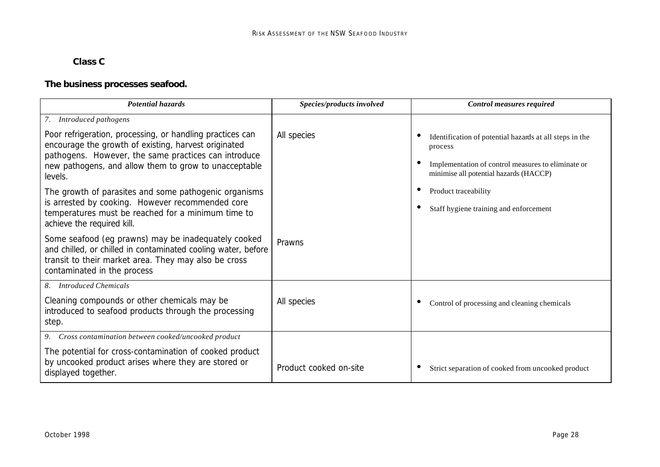# *Class C*

# **The business processes seafood.**

| <b>Potential hazards</b>                                                                                                                                                                                                                      | Species/products involved | <b>Control measures required</b>                                                                                                                                   |
|-----------------------------------------------------------------------------------------------------------------------------------------------------------------------------------------------------------------------------------------------|---------------------------|--------------------------------------------------------------------------------------------------------------------------------------------------------------------|
| 7. Introduced pathogens                                                                                                                                                                                                                       |                           |                                                                                                                                                                    |
| Poor refrigeration, processing, or handling practices can<br>encourage the growth of existing, harvest originated<br>pathogens. However, the same practices can introduce<br>new pathogens, and allow them to grow to unacceptable<br>levels. | All species               | Identification of potential hazards at all steps in the<br>process<br>Implementation of control measures to eliminate or<br>minimise all potential hazards (HACCP) |
| The growth of parasites and some pathogenic organisms                                                                                                                                                                                         |                           | Product traceability<br>$\bullet$                                                                                                                                  |
| is arrested by cooking. However recommended core<br>temperatures must be reached for a minimum time to<br>achieve the required kill.                                                                                                          |                           | Staff hygiene training and enforcement                                                                                                                             |
| Some seafood (eg prawns) may be inadequately cooked<br>and chilled, or chilled in contaminated cooling water, before<br>transit to their market area. They may also be cross<br>contaminated in the process                                   | Prawns                    |                                                                                                                                                                    |
| 8. Introduced Chemicals                                                                                                                                                                                                                       |                           |                                                                                                                                                                    |
| Cleaning compounds or other chemicals may be<br>introduced to seafood products through the processing<br>step.                                                                                                                                | All species               | Control of processing and cleaning chemicals<br>$\bullet$                                                                                                          |
| 9. Cross contamination between cooked/uncooked product                                                                                                                                                                                        |                           |                                                                                                                                                                    |
| The potential for cross-contamination of cooked product<br>by uncooked product arises where they are stored or<br>displayed together.                                                                                                         | Product cooked on-site    | Strict separation of cooked from uncooked product                                                                                                                  |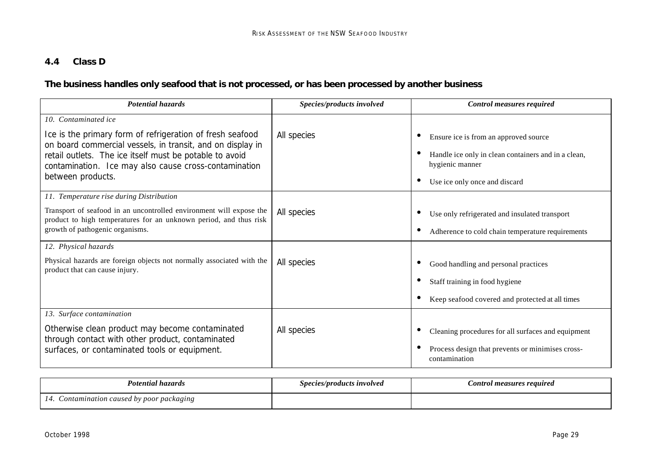# *4.4 Class D*

# **The business handles only seafood that is not processed, or has been processed by another business**

| <b>Potential hazards</b>                                                                                                                 | Species/products involved | <b>Control measures required</b>                                               |
|------------------------------------------------------------------------------------------------------------------------------------------|---------------------------|--------------------------------------------------------------------------------|
| 10. Contaminated ice                                                                                                                     |                           |                                                                                |
| Ice is the primary form of refrigeration of fresh seafood                                                                                | All species               | Ensure ice is from an approved source<br>$\bullet$                             |
| on board commercial vessels, in transit, and on display in<br>retail outlets. The ice itself must be potable to avoid                    |                           | Handle ice only in clean containers and in a clean,                            |
| contamination. Ice may also cause cross-contamination                                                                                    |                           | hygienic manner                                                                |
| between products.                                                                                                                        |                           | Use ice only once and discard<br>$\bullet$                                     |
| 11. Temperature rise during Distribution                                                                                                 |                           |                                                                                |
| Transport of seafood in an uncontrolled environment will expose the<br>product to high temperatures for an unknown period, and thus risk | All species               | Use only refrigerated and insulated transport<br>$\bullet$                     |
| growth of pathogenic organisms.                                                                                                          |                           | Adherence to cold chain temperature requirements<br>$\bullet$                  |
| 12. Physical hazards                                                                                                                     |                           |                                                                                |
| Physical hazards are foreign objects not normally associated with the<br>product that can cause injury.                                  | All species               | Good handling and personal practices<br>$\bullet$                              |
|                                                                                                                                          |                           | Staff training in food hygiene<br>$\bullet$                                    |
|                                                                                                                                          |                           | Keep seafood covered and protected at all times<br>$\bullet$                   |
| 13. Surface contamination                                                                                                                |                           |                                                                                |
| Otherwise clean product may become contaminated<br>through contact with other product, contaminated                                      | All species               | Cleaning procedures for all surfaces and equipment<br>$\bullet$                |
| surfaces, or contaminated tools or equipment.                                                                                            |                           | Process design that prevents or minimises cross-<br>$\bullet$<br>contamination |

| Potential hazards                        | Species/products involved | ontrol measures required |
|------------------------------------------|---------------------------|--------------------------|
| caused by poor packaging<br>ontamination |                           |                          |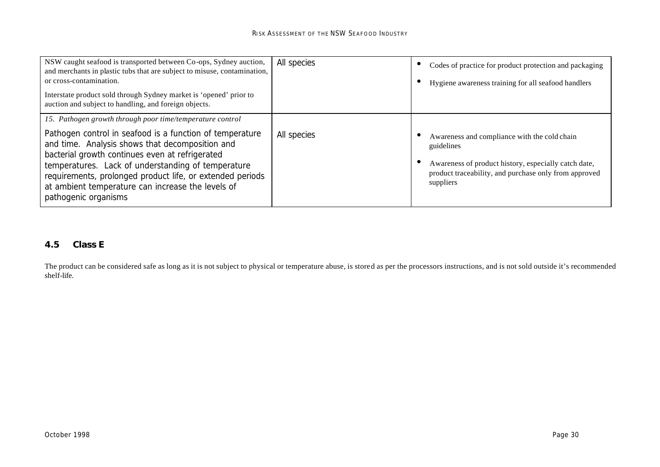| NSW caught seafood is transported between Co-ops, Sydney auction,<br>and merchants in plastic tubs that are subject to misuse, contamination,<br>or cross-contamination.<br>Interstate product sold through Sydney market is 'opened' prior to<br>auction and subject to handling, and foreign objects.                                                                                                                     | All species | Codes of practice for product protection and packaging<br>Hygiene awareness training for all seafood handlers                                                                            |
|-----------------------------------------------------------------------------------------------------------------------------------------------------------------------------------------------------------------------------------------------------------------------------------------------------------------------------------------------------------------------------------------------------------------------------|-------------|------------------------------------------------------------------------------------------------------------------------------------------------------------------------------------------|
| 15. Pathogen growth through poor time/temperature control<br>Pathogen control in seafood is a function of temperature<br>and time. Analysis shows that decomposition and<br>bacterial growth continues even at refrigerated<br>temperatures. Lack of understanding of temperature<br>requirements, prolonged product life, or extended periods<br>at ambient temperature can increase the levels of<br>pathogenic organisms | All species | Awareness and compliance with the cold chain<br>guidelines<br>Awareness of product history, especially catch date,<br>product traceability, and purchase only from approved<br>suppliers |

# *4.5 Class E*

The product can be considered safe as long as it is not subject to physical or temperature abuse, is stored as per the processors instructions, and is not sold outside it's recommended shelf-life.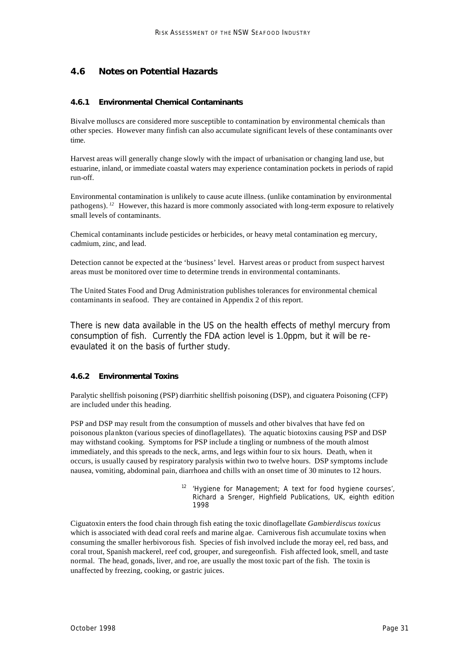# *4.6 Notes on Potential Hazards*

#### **4.6.1 Environmental Chemical Contaminants**

Bivalve molluscs are considered more susceptible to contamination by environmental chemicals than other species. However many finfish can also accumulate significant levels of these contaminants over time.

Harvest areas will generally change slowly with the impact of urbanisation or changing land use, but estuarine, inland, or immediate coastal waters may experience contamination pockets in periods of rapid run-off.

Environmental contamination is unlikely to cause acute illness. (unlike contamination by environmental pathogens).<sup>12</sup> However, this hazard is more commonly associated with long-term exposure to relatively small levels of contaminants.

Chemical contaminants include pesticides or herbicides, or heavy metal contamination eg mercury, cadmium, zinc, and lead.

Detection cannot be expected at the 'business' level. Harvest areas or product from suspect harvest areas must be monitored over time to determine trends in environmental contaminants.

The United States Food and Drug Administration publishes tolerances for environmental chemical contaminants in seafood. They are contained in Appendix 2 of this report.

There is new data available in the US on the health effects of methyl mercury from consumption of fish. Currently the FDA action level is 1.0ppm, but it will be reevaulated it on the basis of further study.

#### **4.6.2 Environmental Toxins**

Paralytic shellfish poisoning (PSP) diarrhitic shellfish poisoning (DSP), and ciguatera Poisoning (CFP) are included under this heading.

PSP and DSP may result from the consumption of mussels and other bivalves that have fed on poisonous plankton (various species of dinoflagellates). The aquatic biotoxins causing PSP and DSP may withstand cooking. Symptoms for PSP include a tingling or numbness of the mouth almost immediately, and this spreads to the neck, arms, and legs within four to six hours. Death, when it occurs, is usually caused by respiratory paralysis within two to twelve hours. DSP symptoms include nausea, vomiting, abdominal pain, diarrhoea and chills with an onset time of 30 minutes to 12 hours.

> *<sup>12</sup> 'Hygiene for Management; A text for food hygiene courses',*  Richard a Srenger, Highfield Publications, UK, eighth edition 1998

Ciguatoxin enters the food chain through fish eating the toxic dinoflagellate *Gambierdiscus toxicus* which is associated with dead coral reefs and marine algae. Carniverous fish accumulate toxins when consuming the smaller herbivorous fish. Species of fish involved include the moray eel, red bass, and coral trout, Spanish mackerel, reef cod, grouper, and suregeonfish. Fish affected look, smell, and taste normal. The head, gonads, liver, and roe, are usually the most toxic part of the fish. The toxin is unaffected by freezing, cooking, or gastric juices.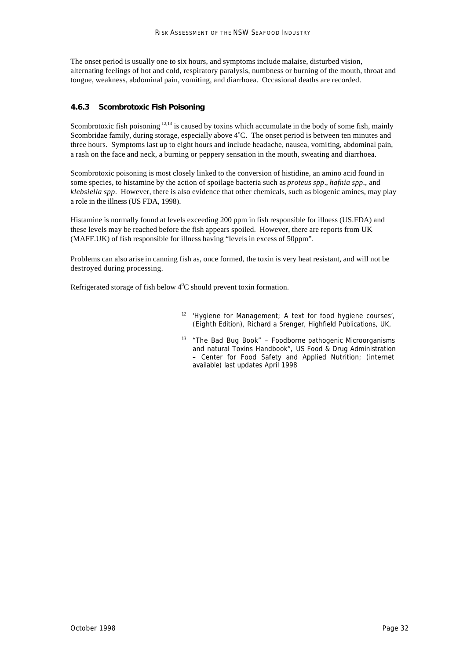The onset period is usually one to six hours, and symptoms include malaise, disturbed vision, alternating feelings of hot and cold, respiratory paralysis, numbness or burning of the mouth, throat and tongue, weakness, abdominal pain, vomiting, and diarrhoea. Occasional deaths are recorded.

#### **4.6.3 Scombrotoxic Fish Poisoning**

Scombrotoxic fish poisoning <sup>12,13</sup> is caused by toxins which accumulate in the body of some fish, mainly Scombridae family, during storage, especially above  $4^{\circ}C$ . The onset period is between ten minutes and three hours. Symptoms last up to eight hours and include headache, nausea, vomiting, abdominal pain, a rash on the face and neck, a burning or peppery sensation in the mouth, sweating and diarrhoea.

Scombrotoxic poisoning is most closely linked to the conversion of histidine, an amino acid found in some species, to histamine by the action of spoilage bacteria such as *proteus spp*., *hafnia spp*., and *klebsiella spp*. However, there is also evidence that other chemicals, such as biogenic amines, may play a role in the illness (US FDA, 1998).

Histamine is normally found at levels exceeding 200 ppm in fish responsible for illness (US.FDA) and these levels may be reached before the fish appears spoiled. However, there are reports from UK (MAFF.UK) of fish responsible for illness having "levels in excess of 50ppm".

Problems can also arise in canning fish as, once formed, the toxin is very heat resistant, and will not be destroyed during processing.

Refrigerated storage of fish below  $4^0C$  should prevent toxin formation.

- *<sup>12</sup> 'Hygiene for Management; A text for food hygiene courses',*  (Eighth Edition), Richard a Srenger, Highfield Publications, UK,
- *<sup>13</sup> "The Bad Bug Book" Foodborne pathogenic Microorganisms and natural Toxins Handbook",* US Food & Drug Administration – Center for Food Safety and Applied Nutrition; (internet available) last updates April 1998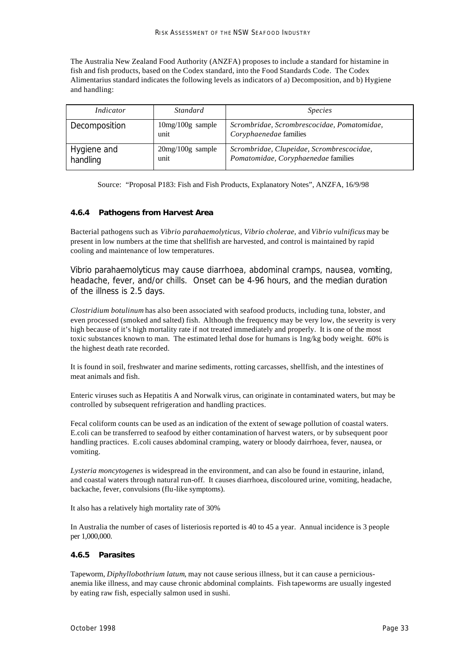The Australia New Zealand Food Authority (ANZFA) proposes to include a standard for histamine in fish and fish products, based on the Codex standard, into the Food Standards Code. The Codex Alimentarius standard indicates the following levels as indicators of a) Decomposition, and b) Hygiene and handling:

| Indicator               | Standard                   | <i>Species</i>                                                                   |
|-------------------------|----------------------------|----------------------------------------------------------------------------------|
| Decomposition           | $10mg/100g$ sample<br>unit | Scrombridae, Scrombrescocidae, Pomatomidae,<br>Coryphaenedae families            |
| Hygiene and<br>handling | $20mg/100g$ sample<br>unit | Scrombridae, Clupeidae, Scrombrescocidae,<br>Pomatomidae, Coryphaenedae families |

Source: "Proposal P183: Fish and Fish Products, Explanatory Notes", ANZFA, 16/9/98

#### **4.6.4 Pathogens from Harvest Area**

Bacterial pathogens such as *Vibrio parahaemolyticus, Vibrio cholerae*, and *Vibrio vulnificus* may be present in low numbers at the time that shellfish are harvested, and control is maintained by rapid cooling and maintenance of low temperatures.

*Vibrio parahaemolyticus* may cause diarrhoea, abdominal cramps, nausea, vomiting, headache, fever, and/or chills. Onset can be 4-96 hours, and the median duration of the illness is 2.5 days.

*Clostridium botulinum* has also been associated with seafood products, including tuna, lobster, and even processed (smoked and salted) fish. Although the frequency may be very low, the severity is very high because of it's high mortality rate if not treated immediately and properly. It is one of the most toxic substances known to man. The estimated lethal dose for humans is 1ng/kg body weight. 60% is the highest death rate recorded.

It is found in soil, freshwater and marine sediments, rotting carcasses, shellfish, and the intestines of meat animals and fish.

Enteric viruses such as Hepatitis A and Norwalk virus, can originate in contaminated waters, but may be controlled by subsequent refrigeration and handling practices.

Fecal coliform counts can be used as an indication of the extent of sewage pollution of coastal waters. E.coli can be transferred to seafood by either contamination of harvest waters, or by subsequent poor handling practices. E.coli causes abdominal cramping, watery or bloody dairrhoea, fever, nausea, or vomiting.

*Lysteria moncytogenes* is widespread in the environment, and can also be found in estaurine, inland, and coastal waters through natural run-off. It causes diarrhoea, discoloured urine, vomiting, headache, backache, fever, convulsions (flu-like symptoms).

It also has a relatively high mortality rate of 30%

In Australia the number of cases of listeriosis reported is 40 to 45 a year. Annual incidence is 3 people per 1,000,000.

#### **4.6.5 Parasites**

Tapeworm, *Diphyllobothrium latum*, may not cause serious illness, but it can cause a perniciousanemia like illness, and may cause chronic abdominal complaints. Fish tapeworms are usually ingested by eating raw fish, especially salmon used in sushi.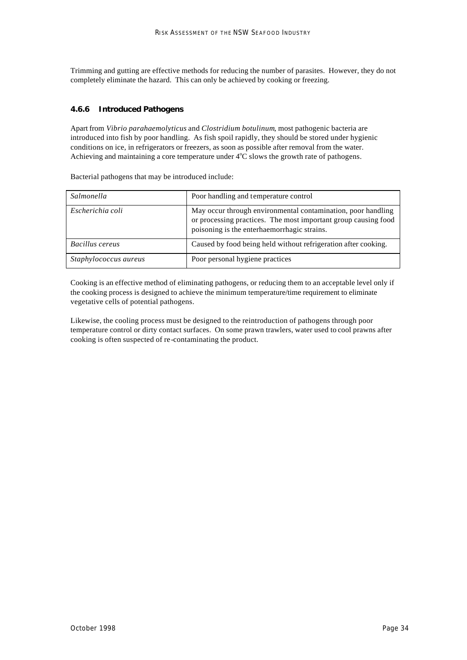Trimming and gutting are effective methods for reducing the number of parasites. However, they do not completely eliminate the hazard. This can only be achieved by cooking or freezing.

#### **4.6.6 Introduced Pathogens**

Apart from *Vibrio parahaemolyticus* and *Clostridium botulinum*, most pathogenic bacteria are introduced into fish by poor handling. As fish spoil rapidly, they should be stored under hygienic conditions on ice, in refrigerators or freezers, as soon as possible after removal from the water. Achieving and maintaining a core temperature under  $4^{\circ}C$  slows the growth rate of pathogens.

| <i>Salmonella</i>     | Poor handling and temperature control                                                                                                                                         |
|-----------------------|-------------------------------------------------------------------------------------------------------------------------------------------------------------------------------|
| Escherichia coli      | May occur through environmental contamination, poor handling<br>or processing practices. The most important group causing food<br>poisoning is the enterhaemorrhagic strains. |
| Bacillus cereus       | Caused by food being held without refrigeration after cooking.                                                                                                                |
| Staphylococcus aureus | Poor personal hygiene practices                                                                                                                                               |

Bacterial pathogens that may be introduced include:

Cooking is an effective method of eliminating pathogens, or reducing them to an acceptable level only if the cooking process is designed to achieve the minimum temperature/time requirement to eliminate vegetative cells of potential pathogens.

Likewise, the cooling process must be designed to the reintroduction of pathogens through poor temperature control or dirty contact surfaces. On some prawn trawlers, water used to cool prawns after cooking is often suspected of re-contaminating the product.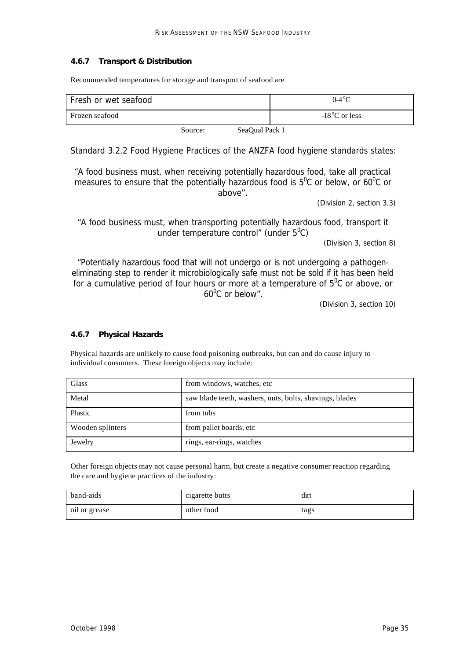#### **4.6.7 Transport & Distribution**

Recommended temperatures for storage and transport of seafood are

| Fresh or wet seafood |         |                | $0-4\degree$ C          |
|----------------------|---------|----------------|-------------------------|
| Frozen seafood       |         |                | $-18^{\circ}$ C or less |
|                      | Source: | SeaOual Pack 1 |                         |

Standard 3.2.2 Food Hygiene Practices of the ANZFA food hygiene standards states:

*"A food business must, when receiving potentially hazardous food, take all practical measures to ensure that the potentially hazardous food is 5<sup>°</sup>C or below, or 60<sup>°</sup>C or above".*

(Division 2, section 3.3)

*"A food business must, when transporting potentially hazardous food, transport it under temperature control" (under 5<sup>0</sup> C)*

(Division 3, section 8)

*"Potentially hazardous food that will not undergo or is not undergoing a pathogeneliminating step to render it microbiologically safe must not be sold if it has been held*  for a cumulative period of four hours or more at a temperature of  $5^{\circ}$ C or above, or *60<sup>0</sup> C or below".*

(Division 3, section 10)

#### **4.6.7 Physical Hazards**

Physical hazards are unlikely to cause food poisoning outbreaks, but can and do cause injury to individual consumers. These foreign objects may include:

| Glass            | from windows, watches, etc                              |
|------------------|---------------------------------------------------------|
| Metal            | saw blade teeth, washers, nuts, bolts, shavings, blades |
| Plastic          | from tubs                                               |
| Wooden splinters | from pallet boards, etc.                                |
| Jewelry          | rings, ear-rings, watches                               |

Other foreign objects may not cause personal harm, but create a negative consumer reaction regarding the care and hygiene practices of the industry:

| band-aids     | cigarette butts | dirt |  |
|---------------|-----------------|------|--|
| oil or grease | other food      | tags |  |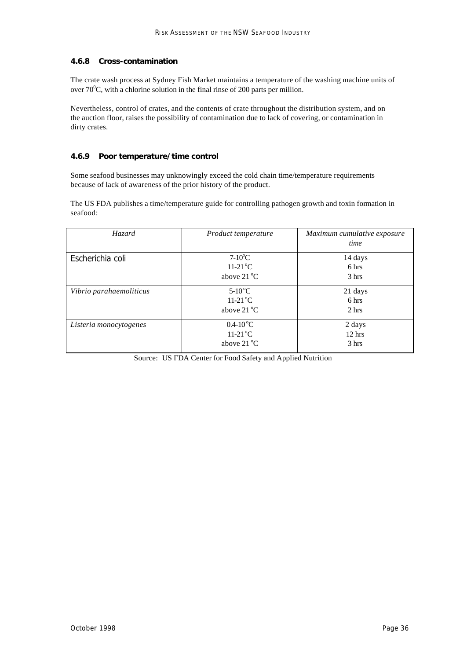#### **4.6.8 Cross-contamination**

The crate wash process at Sydney Fish Market maintains a temperature of the washing machine units of over  $70^{\circ}$ C, with a chlorine solution in the final rinse of 200 parts per million.

Nevertheless, control of crates, and the contents of crate throughout the distribution system, and on the auction floor, raises the possibility of contamination due to lack of covering, or contamination in dirty crates.

#### **4.6.9 Poor temperature/time control**

Some seafood businesses may unknowingly exceed the cold chain time/temperature requirements because of lack of awareness of the prior history of the product.

The US FDA publishes a time/temperature guide for controlling pathogen growth and toxin formation in seafood:

| Hazard                  | Product temperature                                                     | Maximum cumulative exposure<br>time |
|-------------------------|-------------------------------------------------------------------------|-------------------------------------|
| Escherichia coli        | $7-10$ <sup>o</sup> C<br>$11-21$ <sup>o</sup> C<br>above $21^{\circ}$ C | 14 days<br>6 hrs<br>3 hrs           |
| Vibrio parahaemoliticus | $5-10^{\circ}$ C<br>$11-21\,^{\circ}$ C<br>above $21^{\circ}$ C         | 21 days<br>6 hrs<br>2 hrs           |
| Listeria monocytogenes  | $0.4 - 10^{\circ}C$<br>11-21 <sup>o</sup> C<br>above $21^{\circ}$ C     | 2 days<br>$12$ hrs<br>3 hrs         |

Source: US FDA Center for Food Safety and Applied Nutrition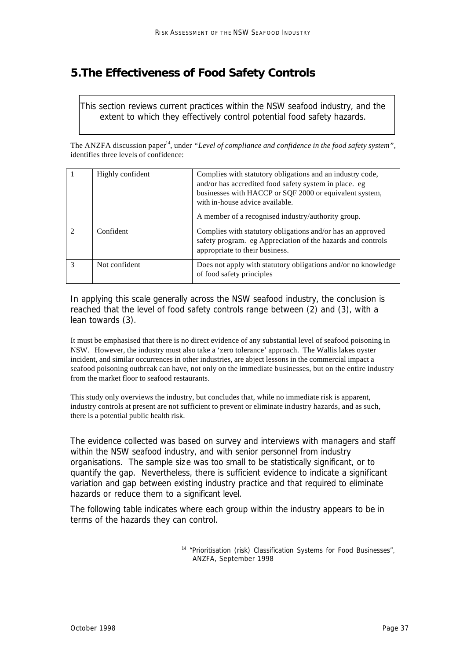# **5.The Effectiveness of Food Safety Controls**

*This section reviews current practices within the NSW seafood industry, and the extent to which they effectively control potential food safety hazards.*

The ANZFA discussion paper<sup>14</sup>, under "Level of compliance and confidence in the food safety system", identifies three levels of confidence:

|               | Highly confident | Complies with statutory obligations and an industry code,<br>and/or has accredited food safety system in place. eg<br>businesses with HACCP or SQF 2000 or equivalent system,<br>with in-house advice available.<br>A member of a recognised industry/authority group. |
|---------------|------------------|------------------------------------------------------------------------------------------------------------------------------------------------------------------------------------------------------------------------------------------------------------------------|
|               | Confident        | Complies with statutory obligations and/or has an approved<br>safety program. eg Appreciation of the hazards and controls<br>appropriate to their business.                                                                                                            |
| $\mathcal{R}$ | Not confident    | Does not apply with statutory obligations and/or no knowledge<br>of food safety principles                                                                                                                                                                             |

In applying this scale generally across the NSW seafood industry, the conclusion is reached that the level of food safety controls range between (2) and (3), with a lean towards (3).

It must be emphasised that there is no direct evidence of any substantial level of seafood poisoning in NSW. However, the industry must also take a 'zero tolerance' approach. The Wallis lakes oyster incident, and similar occurrences in other industries, are abject lessons in the commercial impact a seafood poisoning outbreak can have, not only on the immediate businesses, but on the entire industry from the market floor to seafood restaurants.

This study only overviews the industry, but concludes that, while no immediate risk is apparent, industry controls at present are not sufficient to prevent or eliminate industry hazards, and as such, there is a potential public health risk.

The evidence collected was based on survey and interviews with managers and staff within the NSW seafood industry, and with senior personnel from industry organisations. The sample size was too small to be statistically significant, or to quantify the gap. Nevertheless, there is sufficient evidence to indicate a significant variation and gap between existing industry practice and that required to eliminate hazards or reduce them to a significant level.

The following table indicates where each group within the industry appears to be in terms of the hazards they can control.

> <sup>14</sup> "Prioritisation (risk) Classification Systems for Food Businesses", ANZFA, September 1998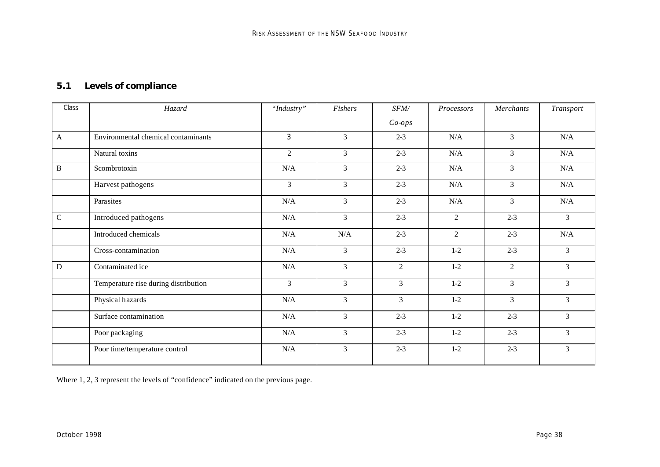# *5.1 Levels of compliance*

| Class        | Hazard                               | "Industry"     | Fishers        | SFM/           | Processors     | Merchants      | <b>Transport</b> |
|--------------|--------------------------------------|----------------|----------------|----------------|----------------|----------------|------------------|
|              |                                      |                |                | $Co-ops$       |                |                |                  |
| $\mathbf{A}$ | Environmental chemical contaminants  | 3              | $\overline{3}$ | $2 - 3$        | N/A            | 3              | N/A              |
|              | Natural toxins                       | 2              | $\mathfrak{Z}$ | $2 - 3$        | $\rm N/A$      | $\overline{3}$ | N/A              |
| $\, {\bf B}$ | Scombrotoxin                         | N/A            | 3              | $2 - 3$        | N/A            | 3              | N/A              |
|              | Harvest pathogens                    | 3              | $\mathfrak{Z}$ | $2 - 3$        | N/A            | $\mathfrak{Z}$ | N/A              |
|              | Parasites                            | $\rm N/A$      | 3              | $2 - 3$        | $\rm N/A$      | 3              | N/A              |
| $\mathbf C$  | Introduced pathogens                 | $\rm N/A$      | $\overline{3}$ | $2 - 3$        | $\overline{2}$ | $2 - 3$        | $\overline{3}$   |
|              | Introduced chemicals                 | N/A            | N/A            | $2 - 3$        | $\overline{2}$ | $2 - 3$        | $\rm N/A$        |
|              | Cross-contamination                  | N/A            | $\overline{3}$ | $2 - 3$        | $1-2$          | $2 - 3$        | $\overline{3}$   |
| ${\bf D}$    | Contaminated ice                     | $\rm N/A$      | $\mathfrak{Z}$ | $\overline{2}$ | $1-2$          | $\overline{2}$ | 3                |
|              | Temperature rise during distribution | $\mathfrak{Z}$ | $\mathfrak{Z}$ | $\mathfrak{Z}$ | $1-2$          | $\mathfrak{Z}$ | $\overline{3}$   |
|              | Physical hazards                     | $\rm N/A$      | 3              | 3              | $1-2$          | $\overline{3}$ | $\mathfrak{Z}$   |
|              | Surface contamination                | $\rm N/A$      | 3              | $2 - 3$        | $1-2$          | $2 - 3$        | 3                |
|              | Poor packaging                       | $\rm N/A$      | $\overline{3}$ | $2 - 3$        | $1-2$          | $2 - 3$        | $\overline{3}$   |
|              | Poor time/temperature control        | $\rm N/A$      | $\overline{3}$ | $2 - 3$        | $1-2$          | $2 - 3$        | $\overline{3}$   |

Where 1, 2, 3 represent the levels of "confidence" indicated on the previous page.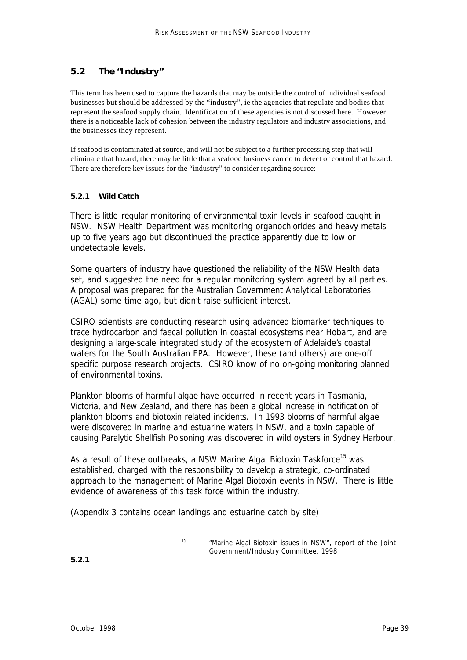### *5.2 The "Industry"*

This term has been used to capture the hazards that may be outside the control of individual seafood businesses but should be addressed by the "industry", ie the agencies that regulate and bodies that represent the seafood supply chain. Identification of these agencies is not discussed here. However there is a noticeable lack of cohesion between the industry regulators and industry associations, and the businesses they represent.

If seafood is contaminated at source, and will not be subject to a further processing step that will eliminate that hazard, there may be little that a seafood business can do to detect or control that hazard. There are therefore key issues for the "industry" to consider regarding source:

#### **5.2.1 Wild Catch**

There is little regular monitoring of environmental toxin levels in seafood caught in NSW. NSW Health Department was monitoring organochlorides and heavy metals up to five years ago but discontinued the practice apparently due to low or undetectable levels.

Some quarters of industry have questioned the reliability of the NSW Health data set, and suggested the need for a regular monitoring system agreed by all parties. A proposal was prepared for the Australian Government Analytical Laboratories (AGAL) some time ago, but didn't raise sufficient interest.

CSIRO scientists are conducting research using advanced biomarker techniques to trace hydrocarbon and faecal pollution in coastal ecosystems near Hobart, and are designing a large-scale integrated study of the ecosystem of Adelaide's coastal waters for the South Australian EPA. However, these (and others) are one-off specific purpose research projects. CSIRO know of no on-going monitoring planned of environmental toxins.

Plankton blooms of harmful algae have occurred in recent years in Tasmania, Victoria, and New Zealand, and there has been a global increase in notification of plankton blooms and biotoxin related incidents. In 1993 blooms of harmful algae were discovered in marine and estuarine waters in NSW, and a toxin capable of causing Paralytic Shellfish Poisoning was discovered in wild oysters in Sydney Harbour.

As a result of these outbreaks, a NSW Marine Algal Biotoxin Taskforce<sup>15</sup> was established, charged with the responsibility to develop a strategic, co-ordinated approach to the management of Marine Algal Biotoxin events in NSW. There is little evidence of awareness of this task force within the industry.

(Appendix 3 contains ocean landings and estuarine catch by site)

<sup>15</sup> *"Marine Algal Biotoxin issues in NSW",* report of the Joint Government/Industry Committee, 1998

**5.2.1**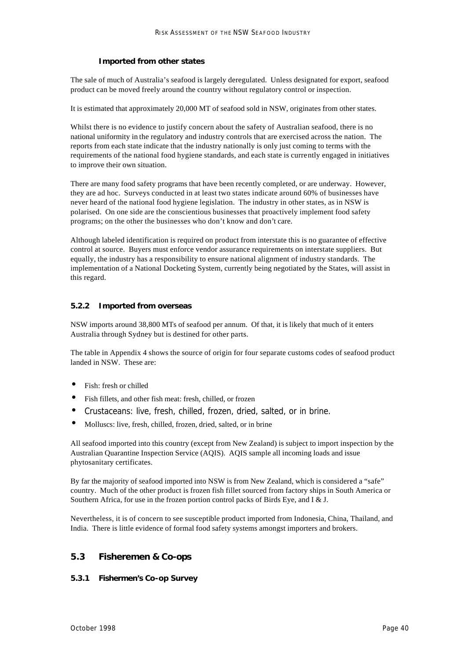#### **Imported from other states**

The sale of much of Australia's seafood is largely deregulated. Unless designated for export, seafood product can be moved freely around the country without regulatory control or inspection.

It is estimated that approximately 20,000 MT of seafood sold in NSW, originates from other states.

Whilst there is no evidence to justify concern about the safety of Australian seafood, there is no national uniformity in the regulatory and industry controls that are exercised across the nation. The reports from each state indicate that the industry nationally is only just coming to terms with the requirements of the national food hygiene standards, and each state is currently engaged in initiatives to improve their own situation.

There are many food safety programs that have been recently completed, or are underway. However, they are ad hoc. Surveys conducted in at least two states indicate around 60% of businesses have never heard of the national food hygiene legislation. The industry in other states, as in NSW is polarised. On one side are the conscientious businesses that proactively implement food safety programs; on the other the businesses who don't know and don't care.

Although labeled identification is required on product from interstate this is no guarantee of effective control at source. Buyers must enforce vendor assurance requirements on interstate suppliers. But equally, the industry has a responsibility to ensure national alignment of industry standards. The implementation of a National Docketing System, currently being negotiated by the States, will assist in this regard.

#### **5.2.2 Imported from overseas**

NSW imports around 38,800 MTs of seafood per annum. Of that, it is likely that much of it enters Australia through Sydney but is destined for other parts.

The table in Appendix 4 shows the source of origin for four separate customs codes of seafood product landed in NSW. These are:

- Fish: fresh or chilled
- Fish fillets, and other fish meat: fresh, chilled, or frozen
- Crustaceans: live, fresh, chilled, frozen, dried, salted, or in brine.
- Molluscs: live, fresh, chilled, frozen, dried, salted, or in brine

All seafood imported into this country (except from New Zealand) is subject to import inspection by the Australian Quarantine Inspection Service (AQIS). AQIS sample all incoming loads and issue phytosanitary certificates.

By far the majority of seafood imported into NSW is from New Zealand, which is considered a "safe" country. Much of the other product is frozen fish fillet sourced from factory ships in South America or Southern Africa, for use in the frozen portion control packs of Birds Eye, and I & J.

Nevertheless, it is of concern to see susceptible product imported from Indonesia, China, Thailand, and India. There is little evidence of formal food safety systems amongst importers and brokers.

#### *5.3 Fisheremen & Co-ops*

#### **5.3.1 Fishermen's Co-op Survey**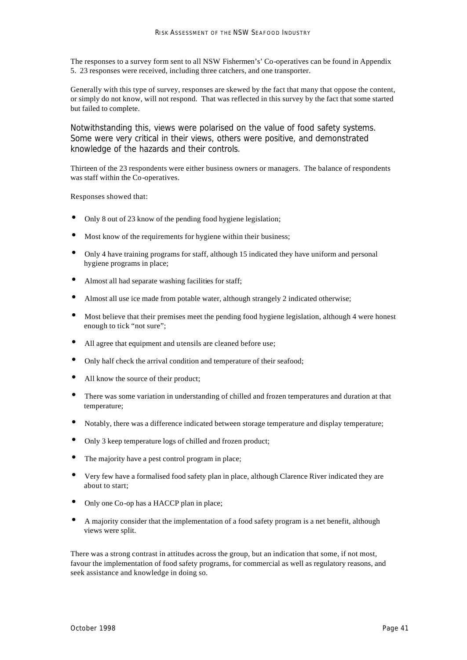The responses to a survey form sent to all NSW Fishermen's' Co-operatives can be found in Appendix 5. 23 responses were received, including three catchers, and one transporter.

Generally with this type of survey, responses are skewed by the fact that many that oppose the content, or simply do not know, will not respond. That was reflected in this survey by the fact that some started but failed to complete.

Notwithstanding this, views were polarised on the value of food safety systems. Some were very critical in their views, others were positive, and demonstrated knowledge of the hazards and their controls.

Thirteen of the 23 respondents were either business owners or managers. The balance of respondents was staff within the Co-operatives.

Responses showed that:

- Only 8 out of 23 know of the pending food hygiene legislation;
- Most know of the requirements for hygiene within their business;
- Only 4 have training programs for staff, although 15 indicated they have uniform and personal hygiene programs in place;
- Almost all had separate washing facilities for staff;
- Almost all use ice made from potable water, although strangely 2 indicated otherwise;
- Most believe that their premises meet the pending food hygiene legislation, although 4 were honest enough to tick "not sure";
- All agree that equipment and utensils are cleaned before use;
- Only half check the arrival condition and temperature of their seafood;
- All know the source of their product;
- There was some variation in understanding of chilled and frozen temperatures and duration at that temperature;
- Notably, there was a difference indicated between storage temperature and display temperature;
- Only 3 keep temperature logs of chilled and frozen product;
- The majority have a pest control program in place;
- Very few have a formalised food safety plan in place, although Clarence River indicated they are about to start;
- Only one Co-op has a HACCP plan in place;
- A majority consider that the implementation of a food safety program is a net benefit, although views were split.

There was a strong contrast in attitudes across the group, but an indication that some, if not most, favour the implementation of food safety programs, for commercial as well as regulatory reasons, and seek assistance and knowledge in doing so.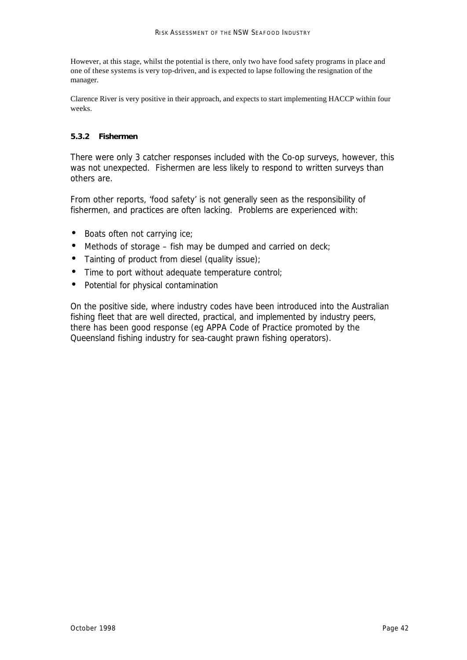However, at this stage, whilst the potential is there, only two have food safety programs in place and one of these systems is very top-driven, and is expected to lapse following the resignation of the manager.

Clarence River is very positive in their approach, and expects to start implementing HACCP within four weeks.

#### **5.3.2 Fishermen**

There were only 3 catcher responses included with the Co-op surveys, however, this was not unexpected. Fishermen are less likely to respond to written surveys than others are.

From other reports, 'food safety' is not generally seen as the responsibility of fishermen, and practices are often lacking. Problems are experienced with:

- Boats often not carrying ice;
- Methods of storage fish may be dumped and carried on deck;
- Tainting of product from diesel (quality issue);
- Time to port without adequate temperature control;
- Potential for physical contamination

On the positive side, where industry codes have been introduced into the Australian fishing fleet that are well directed, practical, and implemented by industry peers, there has been good response (eg APPA Code of Practice promoted by the Queensland fishing industry for sea-caught prawn fishing operators).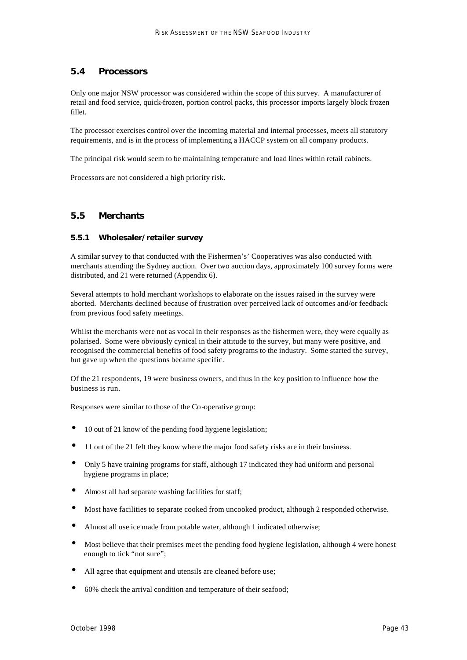### *5.4 Processors*

Only one major NSW processor was considered within the scope of this survey. A manufacturer of retail and food service, quick-frozen, portion control packs, this processor imports largely block frozen fillet.

The processor exercises control over the incoming material and internal processes, meets all statutory requirements, and is in the process of implementing a HACCP system on all company products.

The principal risk would seem to be maintaining temperature and load lines within retail cabinets.

Processors are not considered a high priority risk.

#### *5.5 Merchants*

#### **5.5.1 Wholesaler/retailer survey**

A similar survey to that conducted with the Fishermen's' Cooperatives was also conducted with merchants attending the Sydney auction. Over two auction days, approximately 100 survey forms were distributed, and 21 were returned (Appendix 6).

Several attempts to hold merchant workshops to elaborate on the issues raised in the survey were aborted. Merchants declined because of frustration over perceived lack of outcomes and/or feedback from previous food safety meetings.

Whilst the merchants were not as vocal in their responses as the fishermen were, they were equally as polarised. Some were obviously cynical in their attitude to the survey, but many were positive, and recognised the commercial benefits of food safety programs to the industry. Some started the survey, but gave up when the questions became specific.

Of the 21 respondents, 19 were business owners, and thus in the key position to influence how the business is run.

Responses were similar to those of the Co-operative group:

- 10 out of 21 know of the pending food hygiene legislation;
- 11 out of the 21 felt they know where the major food safety risks are in their business.
- Only 5 have training programs for staff, although 17 indicated they had uniform and personal hygiene programs in place;
- Almost all had separate washing facilities for staff;
- Most have facilities to separate cooked from uncooked product, although 2 responded otherwise.
- Almost all use ice made from potable water, although 1 indicated otherwise;
- Most believe that their premises meet the pending food hygiene legislation, although 4 were honest enough to tick "not sure";
- All agree that equipment and utensils are cleaned before use;
- 60% check the arrival condition and temperature of their seafood;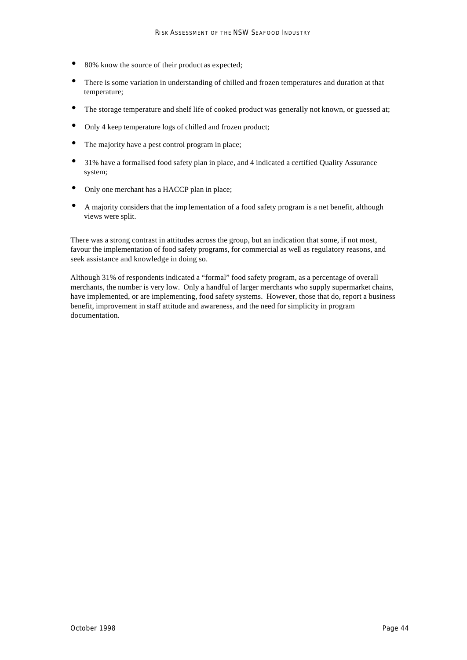- 80% know the source of their product as expected;
- There is some variation in understanding of chilled and frozen temperatures and duration at that temperature;
- The storage temperature and shelf life of cooked product was generally not known, or guessed at;
- Only 4 keep temperature logs of chilled and frozen product;
- The majority have a pest control program in place;
- 31% have a formalised food safety plan in place, and 4 indicated a certified Quality Assurance system;
- Only one merchant has a HACCP plan in place;
- A majority considers that the imp lementation of a food safety program is a net benefit, although views were split.

There was a strong contrast in attitudes across the group, but an indication that some, if not most, favour the implementation of food safety programs, for commercial as well as regulatory reasons, and seek assistance and knowledge in doing so.

Although 31% of respondents indicated a "formal" food safety program, as a percentage of overall merchants, the number is very low. Only a handful of larger merchants who supply supermarket chains, have implemented, or are implementing, food safety systems. However, those that do, report a business benefit, improvement in staff attitude and awareness, and the need for simplicity in program documentation.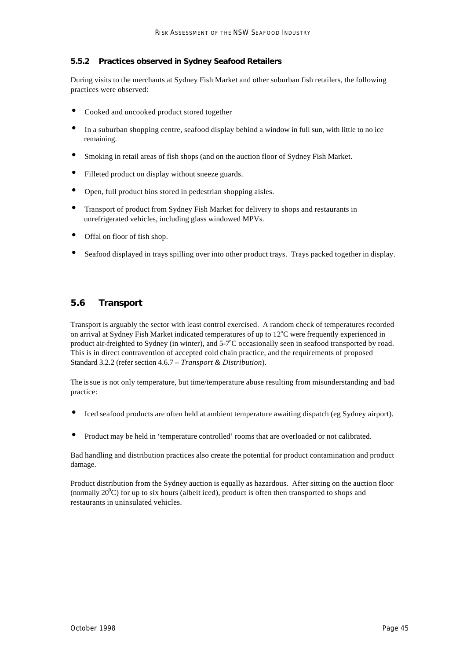#### **5.5.2 Practices observed in Sydney Seafood Retailers**

During visits to the merchants at Sydney Fish Market and other suburban fish retailers, the following practices were observed:

- Cooked and uncooked product stored together
- In a suburban shopping centre, seafood display behind a window in full sun, with little to no ice remaining.
- Smoking in retail areas of fish shops (and on the auction floor of Sydney Fish Market.
- Filleted product on display without sneeze guards.
- Open, full product bins stored in pedestrian shopping aisles.
- Transport of product from Sydney Fish Market for delivery to shops and restaurants in unrefrigerated vehicles, including glass windowed MPVs.
- Offal on floor of fish shop.
- Seafood displayed in trays spilling over into other product trays. Trays packed together in display.

### *5.6 Transport*

Transport is arguably the sector with least control exercised. A random check of temperatures recorded on arrival at Sydney Fish Market indicated temperatures of up to  $12^{\circ}$ C were frequently experienced in product air-freighted to Sydney (in winter), and 5-7°C occasionally seen in seafood transported by road. This is in direct contravention of accepted cold chain practice, and the requirements of proposed Standard 3.2.2 (refer section 4.6.7 – *Transport & Distribution*).

The issue is not only temperature, but time/temperature abuse resulting from misunderstanding and bad practice:

- Iced seafood products are often held at ambient temperature awaiting dispatch (eg Sydney airport).
- Product may be held in 'temperature controlled' rooms that are overloaded or not calibrated.

Bad handling and distribution practices also create the potential for product contamination and product damage.

Product distribution from the Sydney auction is equally as hazardous. After sitting on the auction floor (normally  $20^{\circ}$ C) for up to six hours (albeit iced), product is often then transported to shops and restaurants in uninsulated vehicles.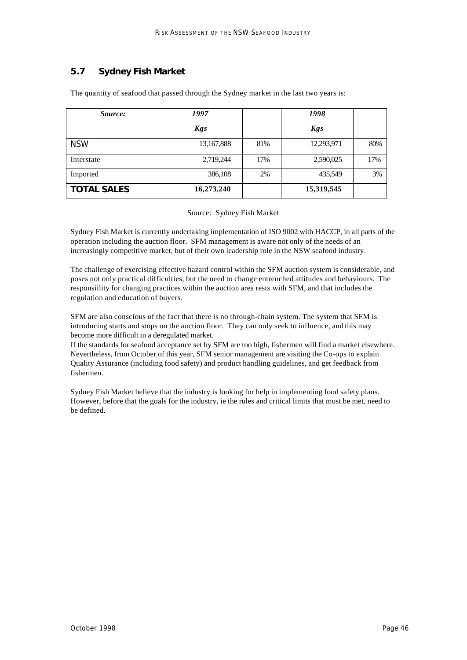# *5.7 Sydney Fish Market*

| Source:            | 1997       |     | 1998       |     |
|--------------------|------------|-----|------------|-----|
|                    | <b>Kgs</b> |     | <b>Kgs</b> |     |
| <b>NSW</b>         | 13,167,888 | 81% | 12,293,971 | 80% |
| Interstate         | 2,719,244  | 17% | 2,590,025  | 17% |
| Imported           | 386,108    | 2%  | 435,549    | 3%  |
| <b>TOTAL SALES</b> | 16,273,240 |     | 15,319,545 |     |

The quantity of seafood that passed through the Sydney market in the last two years is:

Source: Sydney Fish Market

Sydney Fish Market is currently undertaking implementation of ISO 9002 with HACCP, in all parts of the operation including the auction floor. SFM management is aware not only of the needs of an increasingly competitive market, but of their own leadership role in the NSW seafood industry.

The challenge of exercising effective hazard control within the SFM auction system is considerable, and poses not only practical difficulties, but the need to change entrenched attitudes and behaviours. The responsiility for changing practices within the auction area rests with SFM, and that includes the regulation and education of buyers.

SFM are also conscious of the fact that there is no through-chain system. The system that SFM is introducing starts and stops on the auction floor. They can only seek to influence, and this may become more difficult in a deregulated market.

If the standards for seafood acceptance set by SFM are too high, fishermen will find a market elsewhere. Nevertheless, from October of this year, SFM senior management are visiting the Co-ops to explain Quality Assurance (including food safety) and product handling guidelines, and get feedback from fishermen.

Sydney Fish Market believe that the industry is looking for help in implementing food safety plans. However, before that the goals for the industry, ie the rules and critical limits that must be met, need to be defined.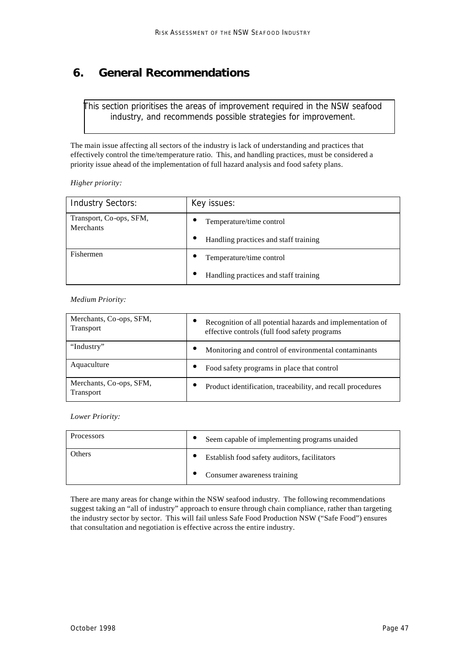# **6. General Recommendations**

*This section prioritises the areas of improvement required in the NSW seafood industry, and recommends possible strategies for improvement.*

The main issue affecting all sectors of the industry is lack of understanding and practices that effectively control the time/temperature ratio. This, and handling practices, must be considered a priority issue ahead of the implementation of full hazard analysis and food safety plans.

*Higher priority:*

| <b>Industry Sectors:</b>                    | Key issues:                                        |
|---------------------------------------------|----------------------------------------------------|
| Transport, Co-ops, SFM,<br><b>Merchants</b> | Temperature/time control                           |
|                                             | Handling practices and staff training<br>$\bullet$ |
| Fishermen                                   | Temperature/time control<br>$\bullet$              |
|                                             | Handling practices and staff training              |

*Medium Priority:*

| Merchants, Co-ops, SFM,<br><b>Transport</b> | Recognition of all potential hazards and implementation of<br>effective controls (full food safety programs |
|---------------------------------------------|-------------------------------------------------------------------------------------------------------------|
| "Industry"                                  | Monitoring and control of environmental contaminants<br>$\bullet$                                           |
| Aquaculture                                 | Food safety programs in place that control<br>$\bullet$                                                     |
| Merchants, Co-ops, SFM,<br><b>Transport</b> | Product identification, traceability, and recall procedures                                                 |

*Lower Priority:*

| Processors | Seem capable of implementing programs unaided |  |  |  |  |
|------------|-----------------------------------------------|--|--|--|--|
| Others     | Establish food safety auditors, facilitators  |  |  |  |  |
|            | Consumer awareness training                   |  |  |  |  |

There are many areas for change within the NSW seafood industry. The following recommendations suggest taking an "all of industry" approach to ensure through chain compliance, rather than targeting the industry sector by sector. This will fail unless Safe Food Production NSW ("Safe Food") ensures that consultation and negotiation is effective across the entire industry.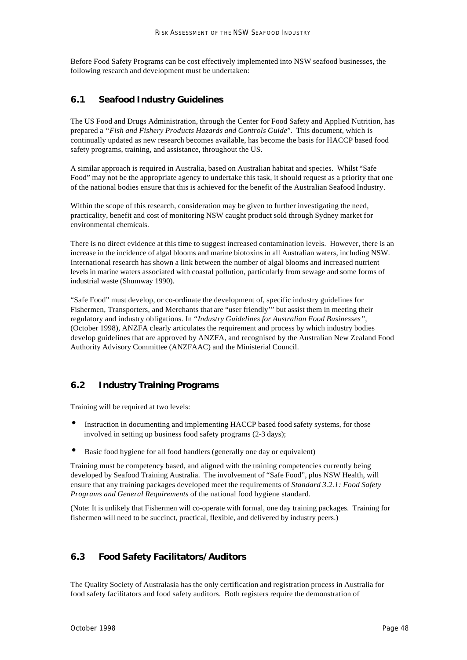Before Food Safety Programs can be cost effectively implemented into NSW seafood businesses, the following research and development must be undertaken:

### *6.1 Seafood Industry Guidelines*

The US Food and Drugs Administration, through the Center for Food Safety and Applied Nutrition, has prepared a *"Fish and Fishery Products Hazards and Controls Guide*". This document, which is continually updated as new research becomes available, has become the basis for HACCP based food safety programs, training, and assistance, throughout the US.

A similar approach is required in Australia, based on Australian habitat and species. Whilst "Safe Food" may not be the appropriate agency to undertake this task, it should request as a priority that one of the national bodies ensure that this is achieved for the benefit of the Australian Seafood Industry.

Within the scope of this research, consideration may be given to further investigating the need, practicality, benefit and cost of monitoring NSW caught product sold through Sydney market for environmental chemicals.

There is no direct evidence at this time to suggest increased contamination levels. However, there is an increase in the incidence of algal blooms and marine biotoxins in all Australian waters, including NSW. International research has shown a link between the number of algal blooms and increased nutrient levels in marine waters associated with coastal pollution, particularly from sewage and some forms of industrial waste (Shumway 1990).

"Safe Food" must develop, or co-ordinate the development of, specific industry guidelines for Fishermen, Transporters, and Merchants that are "user friendly'" but assist them in meeting their regulatory and industry obligations. In *"Industry Guidelines for Australian Food Businesses",* (October 1998), ANZFA clearly articulates the requirement and process by which industry bodies develop guidelines that are approved by ANZFA, and recognised by the Australian New Zealand Food Authority Advisory Committee (ANZFAAC) and the Ministerial Council.

#### *6.2 Industry Training Programs*

Training will be required at two levels:

- Instruction in documenting and implementing HACCP based food safety systems, for those involved in setting up business food safety programs (2-3 days);
- Basic food hygiene for all food handlers (generally one day or equivalent)

Training must be competency based, and aligned with the training competencies currently being developed by Seafood Training Australia. The involvement of "Safe Food", plus NSW Health, will ensure that any training packages developed meet the requirements of *Standard 3.2.1: Food Safety Programs and General Requirements* of the national food hygiene standard.

(Note: It is unlikely that Fishermen will co-operate with formal, one day training packages. Training for fishermen will need to be succinct, practical, flexible, and delivered by industry peers.)

### *6.3 Food Safety Facilitators/Auditors*

The Quality Society of Australasia has the only certification and registration process in Australia for food safety facilitators and food safety auditors. Both registers require the demonstration of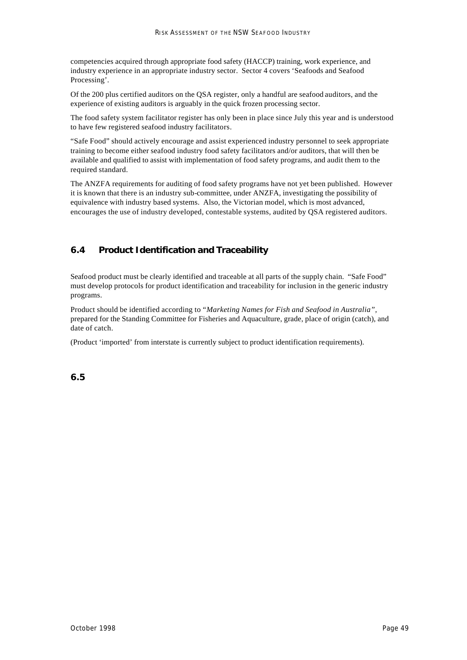competencies acquired through appropriate food safety (HACCP) training, work experience, and industry experience in an appropriate industry sector. Sector 4 covers 'Seafoods and Seafood Processing'.

Of the 200 plus certified auditors on the QSA register, only a handful are seafood auditors, and the experience of existing auditors is arguably in the quick frozen processing sector.

The food safety system facilitator register has only been in place since July this year and is understood to have few registered seafood industry facilitators.

"Safe Food" should actively encourage and assist experienced industry personnel to seek appropriate training to become either seafood industry food safety facilitators and/or auditors, that will then be available and qualified to assist with implementation of food safety programs, and audit them to the required standard.

The ANZFA requirements for auditing of food safety programs have not yet been published. However it is known that there is an industry sub-committee, under ANZFA, investigating the possibility of equivalence with industry based systems. Also, the Victorian model, which is most advanced, encourages the use of industry developed, contestable systems, audited by QSA registered auditors.

# *6.4 Product Identification and Traceability*

Seafood product must be clearly identified and traceable at all parts of the supply chain. "Safe Food" must develop protocols for product identification and traceability for inclusion in the generic industry programs.

Product should be identified according to *"Marketing Names for Fish and Seafood in Australia",*  prepared for the Standing Committee for Fisheries and Aquaculture, grade, place of origin (catch), and date of catch.

(Product 'imported' from interstate is currently subject to product identification requirements).

*6.5*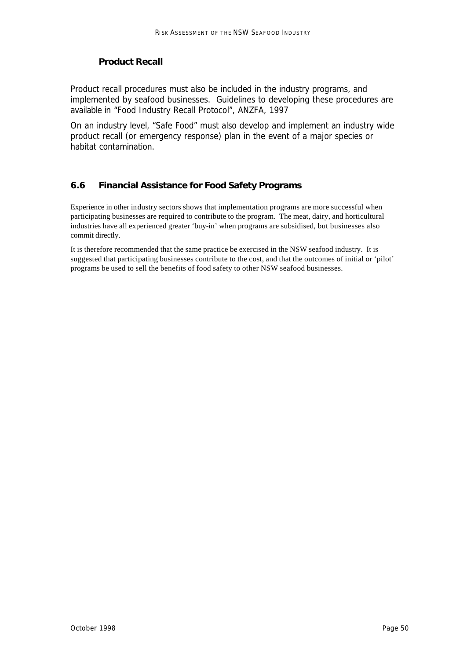# *Product Recall*

Product recall procedures must also be included in the industry programs, and implemented by seafood businesses. Guidelines to developing these procedures are available in *"Food Industry Recall Protocol",* ANZFA, 1997

On an industry level, "Safe Food" must also develop and implement an industry wide product recall (or emergency response) plan in the event of a major species or habitat contamination.

# *6.6 Financial Assistance for Food Safety Programs*

Experience in other industry sectors shows that implementation programs are more successful when participating businesses are required to contribute to the program. The meat, dairy, and horticultural industries have all experienced greater 'buy-in' when programs are subsidised, but businesses also commit directly.

It is therefore recommended that the same practice be exercised in the NSW seafood industry. It is suggested that participating businesses contribute to the cost, and that the outcomes of initial or 'pilot' programs be used to sell the benefits of food safety to other NSW seafood businesses.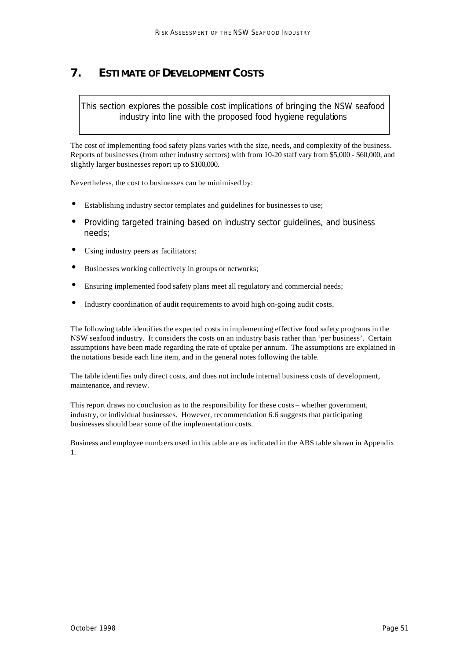# **7. ESTIMATE OF DEVELOPMENT COSTS**

*This section explores the possible cost implications of bringing the NSW seafood industry into line with the proposed food hygiene regulations*

The cost of implementing food safety plans varies with the size, needs, and complexity of the business. Reports of businesses (from other industry sectors) with from 10-20 staff vary from \$5,000 - \$60,000, and slightly larger businesses report up to \$100,000.

Nevertheless, the cost to businesses can be minimised by:

- Establishing industry sector templates and guidelines for businesses to use;
- Providing targeted training based on industry sector guidelines, and business needs;
- Using industry peers as facilitators;
- Businesses working collectively in groups or networks;
- Ensuring implemented food safety plans meet all regulatory and commercial needs;
- Industry coordination of audit requirements to avoid high on-going audit costs.

The following table identifies the expected costs in implementing effective food safety programs in the NSW seafood industry. It considers the costs on an industry basis rather than 'per business'. Certain assumptions have been made regarding the rate of uptake per annum. The assumptions are explained in the notations beside each line item, and in the general notes following the table.

The table identifies only direct costs, and does not include internal business costs of development, maintenance, and review.

This report draws no conclusion as to the responsibility for these costs – whether government, industry, or individual businesses. However, recommendation 6.6 suggests that participating businesses should bear some of the implementation costs.

Business and employee numb ers used in this table are as indicated in the ABS table shown in Appendix 1.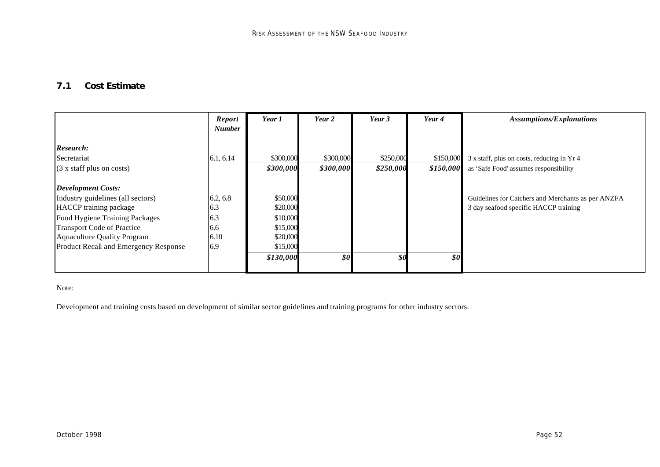# *7.1 Cost Estimate*

|                                                                                                                                                                                                                                                | <b>Report</b><br><b>Number</b>               | Year 1                                                                            | Year 2                                            | Year 3                                            | Year 4                 | <b>Assumptions/Explanations</b>                                                             |
|------------------------------------------------------------------------------------------------------------------------------------------------------------------------------------------------------------------------------------------------|----------------------------------------------|-----------------------------------------------------------------------------------|---------------------------------------------------|---------------------------------------------------|------------------------|---------------------------------------------------------------------------------------------|
| Research:<br>Secretariat<br>$(3 x staff plus on costs)$                                                                                                                                                                                        | 6.1, 6.14                                    | \$300,000<br>\$300,000                                                            | \$300,000<br>\$300,000                            | \$250,000<br>\$250,000                            | \$150,000<br>\$150,000 | 3 x staff, plus on costs, reducing in Yr 4<br>as 'Safe Food' assumes responsibility         |
| <b>Development Costs:</b><br>Industry guidelines (all sectors)<br><b>HACCP</b> training package<br>Food Hygiene Training Packages<br><b>Transport Code of Practice</b><br>Aquaculture Quality Program<br>Product Recall and Emergency Response | 6.2, 6.8<br>6.3<br>6.3<br>6.6<br>6.10<br>6.9 | \$50,000<br>\$20,000<br>\$10,000<br>\$15,000<br>\$20,000<br>\$15,000<br>\$130,000 | $\boldsymbol{\mathcal{S}}\boldsymbol{\mathit{0}}$ | $\boldsymbol{\mathcal{S}}\boldsymbol{\mathit{0}}$ | \$0                    | Guidelines for Catchers and Merchants as per ANZFA<br>3 day seafood specific HACCP training |

Note:

Development and training costs based on development of similar sector guidelines and training programs for other industry sectors.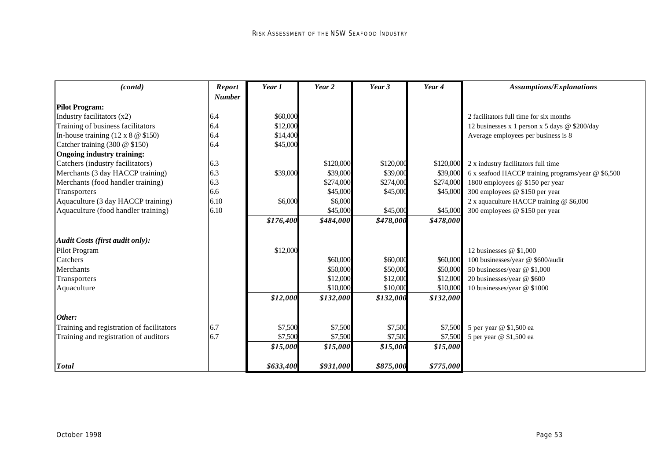| (contd)                                      | $\boldsymbol{\mathit{Report}}$ | Year 1    | Year 2    | Year 3    | Year 4    | <b>Assumptions/Explanations</b>                    |
|----------------------------------------------|--------------------------------|-----------|-----------|-----------|-----------|----------------------------------------------------|
|                                              | <b>Number</b>                  |           |           |           |           |                                                    |
| <b>Pilot Program:</b>                        |                                |           |           |           |           |                                                    |
| Industry facilitators (x2)                   | 6.4                            | \$60,000  |           |           |           | 2 facilitators full time for six months            |
| Training of business facilitators            | 6.4                            | \$12,000  |           |           |           | 12 businesses x 1 person x 5 days @ \$200/day      |
| In-house training $(12 \times 8 \times 150)$ | 6.4                            | \$14,400  |           |           |           | Average employees per business is 8                |
| Catcher training (300 @ \$150)               | 6.4                            | \$45,000  |           |           |           |                                                    |
| <b>Ongoing industry training:</b>            |                                |           |           |           |           |                                                    |
| Catchers (industry facilitators)             | 6.3                            |           | \$120,000 | \$120,000 | \$120,000 | 2 x industry facilitators full time                |
| Merchants (3 day HACCP training)             | 6.3                            | \$39,000  | \$39,000  | \$39,000  | \$39,000  | 6 x seafood HACCP training programs/year @ \$6,500 |
| Merchants (food handler training)            | 6.3                            |           | \$274,000 | \$274,000 | \$274,000 | 1800 employees @ \$150 per year                    |
| Transporters                                 | 6.6                            |           | \$45,000  | \$45,000  | \$45,000  | 300 employees @ \$150 per year                     |
| Aquaculture (3 day HACCP training)           | 6.10                           | \$6,000   | \$6,000   |           |           | 2 x aquaculture HACCP training @ \$6,000           |
| Aquaculture (food handler training)          | 6.10                           |           | \$45,000  | \$45,000  | \$45,000  | 300 employees @ \$150 per year                     |
|                                              |                                | \$176,400 | \$484,000 | \$478,000 | \$478,000 |                                                    |
| <b>Audit Costs (first audit only):</b>       |                                |           |           |           |           |                                                    |
| Pilot Program                                |                                | \$12,000  |           |           |           | 12 businesses $@$ \$1,000                          |
| Catchers                                     |                                |           | \$60,000  | \$60,000  | \$60,000  | 100 businesses/year @ \$600/audit                  |
| Merchants                                    |                                |           | \$50,000  | \$50,000  | \$50,000  | 50 businesses/year @ \$1,000                       |
| Transporters                                 |                                |           | \$12,000  | \$12,000  | \$12,000  | 20 businesses/year @ \$600                         |
| Aquaculture                                  |                                |           | \$10,000  | \$10,000  | \$10,000  | 10 businesses/year @ \$1000                        |
|                                              |                                | \$12,000  | \$132,000 | \$132,000 | \$132,000 |                                                    |
| Other:                                       |                                |           |           |           |           |                                                    |
| Training and registration of facilitators    | 6.7                            | \$7,500   | \$7,500   | \$7,500   | \$7,500   | 5 per year @ \$1,500 ea                            |
| Training and registration of auditors        | 6.7                            | \$7,500   | \$7,500   | \$7,500   | \$7,500   | 5 per year @ \$1,500 ea                            |
|                                              |                                | \$15,000  | \$15,000  | \$15,000  | \$15,000  |                                                    |
| <b>Total</b>                                 |                                | \$633,400 | \$931,000 | \$875,000 | \$775,000 |                                                    |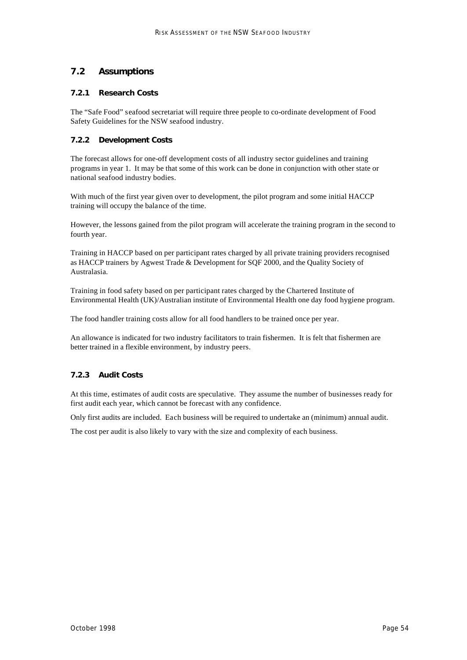### *7.2 Assumptions*

#### **7.2.1 Research Costs**

The "Safe Food" seafood secretariat will require three people to co-ordinate development of Food Safety Guidelines for the NSW seafood industry.

#### **7.2.2 Development Costs**

The forecast allows for one-off development costs of all industry sector guidelines and training programs in year 1. It may be that some of this work can be done in conjunction with other state or national seafood industry bodies.

With much of the first year given over to development, the pilot program and some initial HACCP training will occupy the balance of the time.

However, the lessons gained from the pilot program will accelerate the training program in the second to fourth year.

Training in HACCP based on per participant rates charged by all private training providers recognised as HACCP trainers by Agwest Trade & Development for SQF 2000, and the Quality Society of Australasia.

Training in food safety based on per participant rates charged by the Chartered Institute of Environmental Health (UK)/Australian institute of Environmental Health one day food hygiene program.

The food handler training costs allow for all food handlers to be trained once per year.

An allowance is indicated for two industry facilitators to train fishermen. It is felt that fishermen are better trained in a flexible environment, by industry peers.

#### **7.2.3 Audit Costs**

At this time, estimates of audit costs are speculative. They assume the number of businesses ready for first audit each year, which cannot be forecast with any confidence.

Only first audits are included. Each business will be required to undertake an (minimum) annual audit.

The cost per audit is also likely to vary with the size and complexity of each business.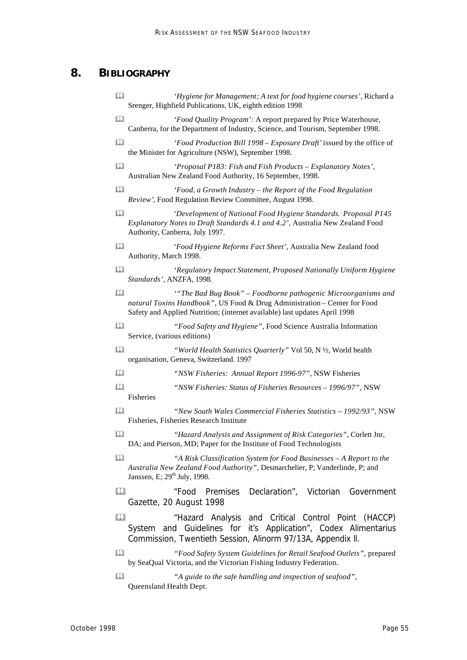# **8. BIBLIOGRAPHY**

- & *'Hygiene for Management; A text for food hygiene courses',* Richard a Srenger, Highfield Publications, UK, eighth edition 1998 & *'Food Quality Program':* A report prepared by Price Waterhouse, Canberra, for the Department of Industry, Science, and Tourism, September 1998.
- & *'Food Production Bill 1998 Exposure Draft'* issued by the office of the Minister for Agriculture (NSW), September 1998.
- & *'Proposal P183: Fish and Fish Products Explanatory Notes'*, Australian New Zealand Food Authority, 16 September, 1998.
- & *'Food, a Growth Industry the Report of the Food Regulation Review'*, Food Regulation Review Committee, August 1998.
- & '*Development of National Food Hygiene Standards*. *Proposal P145 Explanatory Notes to Draft Standards 4.1 and 4.2',* Australia New Zealand Food Authority, Canberra, July 1997.
- & '*Food Hygiene Reforms Fact Sheet',* Australia New Zealand food Authority, March 1998.
- & *'Regulatory Impact Statement, Proposed Nationally Uniform Hygiene Standards'*, ANZFA, 1998.
- & *'"The Bad Bug Book" Foodborne pathogenic Microorganisms and natural Toxins Handbook",* US Food & Drug Administration – Center for Food Safety and Applied Nutrition; (internet available) last updates April 1998
- & *"Food Safety and Hygiene",* Food Science Australia Information Service, (various editions)
- & *"World Health Statistics Quarterly"* Vol 50, N ½, World health organisation, Geneva, Switzerland. 1997
- & *"NSW Fisheries: Annual Report 1996-97",* NSW Fisheries
- & *"NSW Fisheries: Status of Fisheries Resources 1996/97",* NSW Fisheries
- & *"New South Wales Commercial Fisheries Statistics 1992/93",* NSW Fisheries, Fisheries Research Institute
- & *"Hazard Analysis and Assignment of Risk Categories",* Corlett Jnr, DA; and Pierson, MD; Paper for the Institute of Food Technologists
- & *"A Risk Classification System for Food Businesses A Report to the Australia New Zealand Food Authority",* Desmarchelier, P; Vanderlinde, P; and Janssen, E;  $29<sup>th</sup>$  July, 1998.
- & *"Food Premises Declaration",* Victorian Government Gazette, 20 August 1998
- & *"Hazard Analysis and Critical Control Point (HACCP) System and Guidelines for it's Application",* Codex Alimentarius Commission, Twentieth Session, Alinorm 97/13A, Appendix ll.
- & *"Food Safety System Guidelines for Retail Seafood Outlets",* prepared by SeaQual Victoria, and the Victorian Fishing Industry Federation.
- & *"A guide to the safe handling and inspection of seafood",* Queensland Health Dept.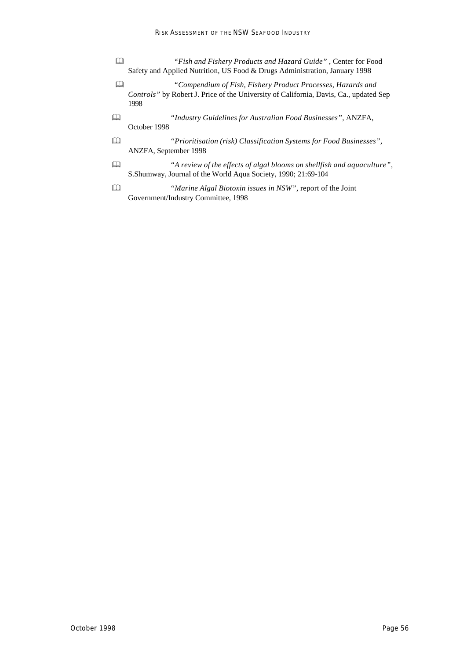- & *"Fish and Fishery Products and Hazard Guide"* , Center for Food Safety and Applied Nutrition, US Food & Drugs Administration, January 1998
- & *"Compendium of Fish, Fishery Product Processes, Hazards and Controls"* by Robert J. Price of the University of California, Davis, Ca., updated Sep 1998
- & *"Industry Guidelines for Australian Food Businesses",* ANZFA, October 1998
- & *"Prioritisation (risk) Classification Systems for Food Businesses",*  ANZFA, September 1998
- & *"A review of the effects of algal blooms on shellfish and aquaculture",*  S.Shumway, Journal of the World Aqua Society, 1990; 21:69-104
- & *"Marine Algal Biotoxin issues in NSW",* report of the Joint Government/Industry Committee, 1998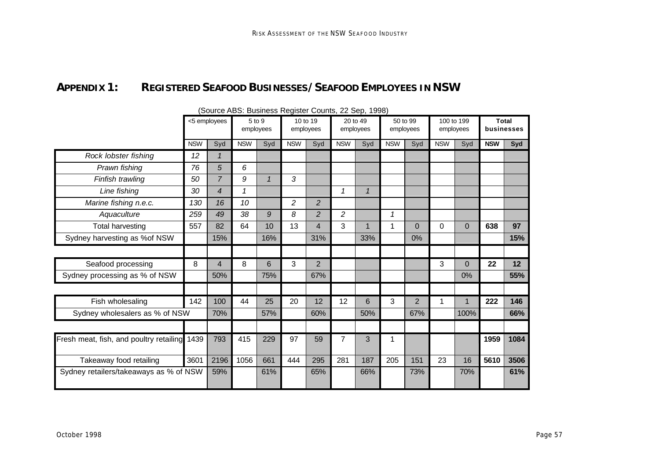# **APPENDIX 1: REGISTERED SEAFOOD BUSINESSES/SEAFOOD EMPLOYEES IN NSW**

|                                         |            | <5 employees   | 5 to 9     | employees    |            | 10 to 19<br>employees |                | 20 to 49<br>employees |             | 50 to 99<br>employees | employees  | 100 to 199 | <b>Total</b><br>businesses |      |
|-----------------------------------------|------------|----------------|------------|--------------|------------|-----------------------|----------------|-----------------------|-------------|-----------------------|------------|------------|----------------------------|------|
|                                         | <b>NSW</b> | Syd            | <b>NSW</b> | Syd          | <b>NSW</b> | Syd                   | <b>NSW</b>     | Syd                   | <b>NSW</b>  | Syd                   | <b>NSW</b> | Syd        | <b>NSW</b>                 | Syd  |
| Rock lobster fishing                    | 12         | 1              |            |              |            |                       |                |                       |             |                       |            |            |                            |      |
| Prawn fishing                           | 76         | 5              | 6          |              |            |                       |                |                       |             |                       |            |            |                            |      |
| Finfish trawling                        | 50         | $\overline{7}$ | 9          | $\mathbf{1}$ | 3          |                       |                |                       |             |                       |            |            |                            |      |
| Line fishing                            | 30         | 4              | 1          |              |            |                       | 1              | $\mathbf{1}$          |             |                       |            |            |                            |      |
| Marine fishing n.e.c.                   | 130        | 16             | 10         |              | 2          | $\overline{c}$        |                |                       |             |                       |            |            |                            |      |
| Aquaculture                             | 259        | 49             | 38         | 9            | 8          | $\overline{c}$        | $\overline{c}$ |                       | 1           |                       |            |            |                            |      |
| <b>Total harvesting</b>                 | 557        | 82             | 64         | 10           | 13         | 4                     | 3              | 1                     | $\mathbf 1$ | 0                     | $\Omega$   | $\Omega$   | 638                        | 97   |
| Sydney harvesting as %of NSW            |            | 15%            |            | 16%          |            | 31%                   |                | 33%                   |             | 0%                    |            |            |                            | 15%  |
|                                         |            |                |            |              |            |                       |                |                       |             |                       |            |            |                            |      |
| Seafood processing                      | 8          | 4              | 8          | 6            | 3          | $\overline{2}$        |                |                       |             |                       | 3          | 0          | 22                         | 12   |
| Sydney processing as % of NSW           |            | 50%            |            | 75%          |            | 67%                   |                |                       |             |                       |            | 0%         |                            | 55%  |
|                                         |            |                |            |              |            |                       |                |                       |             |                       |            |            |                            |      |
| Fish wholesaling                        | 142        | 100            | 44         | 25           | 20         | 12                    | 12             | 6                     | 3           | 2                     |            |            | 222                        | 146  |
| Sydney wholesalers as % of NSW          |            | 70%            |            | 57%          |            | 60%                   |                | 50%                   |             | 67%                   |            | 100%       |                            | 66%  |
|                                         |            |                |            |              |            |                       |                |                       |             |                       |            |            |                            |      |
| Fresh meat, fish, and poultry retailing | 1439       | 793            | 415        | 229          | 97         | 59                    | 7              | 3                     |             |                       |            |            | 1959                       | 1084 |
| Takeaway food retailing                 | 3601       | 2196           | 1056       | 661          | 444        | 295                   | 281            | 187                   | 205         | 151                   | 23         | 16         | 5610                       | 3506 |
| Sydney retailers/takeaways as % of NSW  |            | 59%            |            | 61%          |            | 65%                   |                | 66%                   |             | 73%                   |            | 70%        |                            | 61%  |

#### (Source ABS: Business Register Counts, 22 Sep, 1998)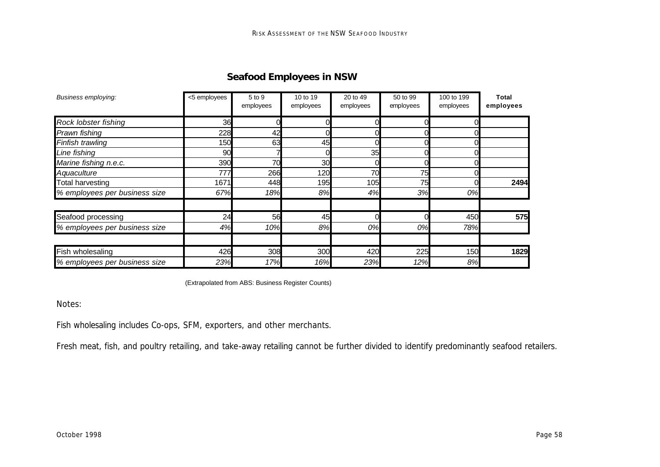# **Seafood Employees in NSW**

| Business employing:           | <5 employees | 5 to 9<br>employees | 10 to 19<br>employees | 20 to 49<br>employees | 50 to 99<br>employees | 100 to 199<br>employees | Total<br>employees |
|-------------------------------|--------------|---------------------|-----------------------|-----------------------|-----------------------|-------------------------|--------------------|
| Rock lobster fishing          | 36           |                     |                       |                       |                       |                         |                    |
| Prawn fishing                 | 228          | 42                  |                       |                       |                       |                         |                    |
| Finfish trawling              | 150          | 63                  | 45                    |                       |                       |                         |                    |
| Line fishing                  | 90           |                     |                       | 35                    |                       |                         |                    |
| Marine fishing n.e.c.         | 390          | 70                  | 30                    |                       |                       |                         |                    |
| Aquaculture                   | 777          | 266                 | 120                   | 70                    | 75                    |                         |                    |
| <b>Total harvesting</b>       | 1671         | 448                 | 195                   | 105                   | 75                    |                         | 2494               |
| % employees per business size | 67%          | 18%                 | 8%                    | 4%                    | 3%                    | 0%                      |                    |
| Seafood processing            | 24           | 56                  | 45                    |                       |                       | 450                     | 575                |
| % employees per business size | 4%           | 10%                 | 8%                    | 0%                    | 0%                    | 78%                     |                    |
| Fish wholesaling              | 426          | 308                 | 300                   | 420                   | 225                   | 150                     | 1829               |
| % employees per business size | 23%          | 17%                 | 16%                   | 23%                   | 12%                   | 8%                      |                    |

(Extrapolated from ABS: Business Register Counts)

Notes:

*Fish wholesaling* includes Co-ops, SFM, exporters, and other merchants.

*Fresh meat, fish, and poultry retailing*, and *take-away retailing* cannot be further divided to identify predominantly seafood retailers.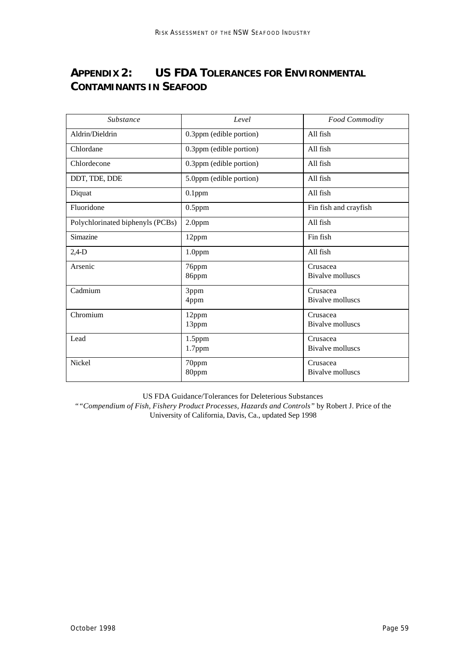# **APPENDIX 2: US FDA TOLERANCES FOR ENVIRONMENTAL CONTAMINANTS IN SEAFOOD**

| Substance                        | Level                   | Food Commodity                      |
|----------------------------------|-------------------------|-------------------------------------|
| Aldrin/Dieldrin                  | 0.3ppm (edible portion) | All fish                            |
| Chlordane                        | 0.3ppm (edible portion) | All fish                            |
| Chlordecone                      | 0.3ppm (edible portion) | All fish                            |
| DDT, TDE, DDE                    | 5.0ppm (edible portion) | All fish                            |
| Diquat                           | $0.1$ ppm               | All fish                            |
| Fluoridone                       | $0.5$ ppm               | Fin fish and crayfish               |
| Polychlorinated biphenyls (PCBs) | $2.0$ ppm               | All fish                            |
| Simazine                         | 12ppm                   | Fin fish                            |
| $2,4-D$                          | 1.0ppm                  | All fish                            |
| Arsenic                          | 76ppm<br>86ppm          | Crusacea<br><b>Bivalve molluscs</b> |
| Cadmium                          | 3ppm<br>4ppm            | Crusacea<br><b>Bivalve molluscs</b> |
| Chromium                         | 12ppm<br>13ppm          | Crusacea<br>Bivalve molluscs        |
| Lead                             | 1.5ppm<br>1.7ppm        | Crusacea<br>Bivalve molluscs        |
| Nickel                           | 70ppm<br>80ppm          | Crusacea<br><b>Bivalve molluscs</b> |

US FDA Guidance/Tolerances for Deleterious Substances

*""Compendium of Fish, Fishery Product Processes, Hazards and Controls"* by Robert J. Price of the University of California, Davis, Ca., updated Sep 1998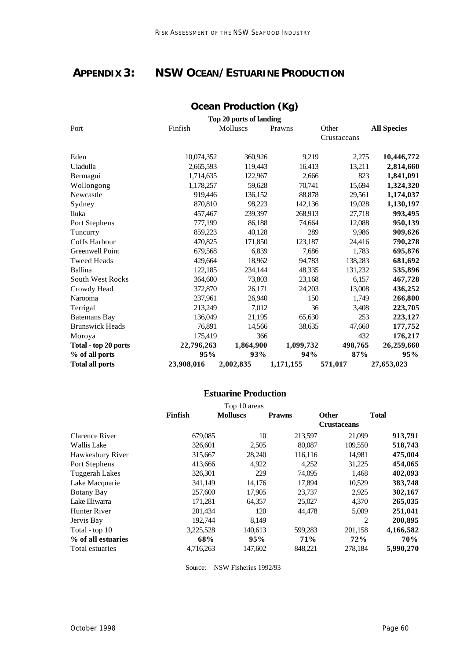# **APPENDIX 3: NSW OCEAN/ESTUARINE PRODUCTION**

## **Ocean Production (Kg) Top 20 ports of landing** Port Finfish Molluscs Prawns Other

| Port                    | Finfish    | Molluscs  | Prawns    | Other<br>Crustaceans | <b>All Species</b> |
|-------------------------|------------|-----------|-----------|----------------------|--------------------|
| Eden                    | 10,074,352 | 360,926   | 9,219     | 2,275                | 10,446,772         |
| Uladulla                | 2,665,593  | 119,443   | 16,413    | 13,211               | 2,814,660          |
| Bermagui                | 1,714,635  | 122,967   | 2,666     | 823                  | 1,841,091          |
| Wollongong              | 1,178,257  | 59,628    | 70,741    | 15,694               | 1,324,320          |
| Newcastle               | 919,446    | 136,152   | 88,878    | 29,561               | 1,174,037          |
| Sydney                  | 870,810    | 98,223    | 142,136   | 19,028               | 1,130,197          |
| Iluka                   | 457,467    | 239,397   | 268,913   | 27,718               | 993,495            |
| Port Stephens           | 777,199    | 86,188    | 74,664    | 12,088               | 950,139            |
| Tuncurry                | 859,223    | 40,128    | 289       | 9,986                | 909,626            |
| Coffs Harbour           | 470,825    | 171,850   | 123,187   | 24,416               | 790,278            |
| Greenwell Point         | 679,568    | 6,839     | 7,686     | 1,783                | 695,876            |
| <b>Tweed Heads</b>      | 429,664    | 18,962    | 94,783    | 138,283              | 681,692            |
| <b>Ballina</b>          | 122,185    | 234,144   | 48,335    | 131,232              | 535,896            |
| <b>South West Rocks</b> | 364,600    | 73,803    | 23,168    | 6,157                | 467,728            |
| Crowdy Head             | 372,870    | 26,171    | 24,203    | 13,008               | 436,252            |
| Narooma                 | 237,961    | 26,940    | 150       | 1,749                | 266,800            |
| Terrigal                | 213,249    | 7,012     | 36        | 3,408                | 223,705            |
| Batemans Bay            | 136,049    | 21,195    | 65,630    | 253                  | 223,127            |
| <b>Brunswick Heads</b>  | 76,891     | 14,566    | 38,635    | 47,660               | 177,752            |
| Moroya                  | 175,419    | 366       |           | 432                  | 176,217            |
| Total - top 20 ports    | 22,796,263 | 1,864,900 | 1,099,732 | 498,765              | 26,259,660         |
| % of all ports          | 95%        | 93%       | 94%       | 87%                  | 95%                |
| <b>Total all ports</b>  | 23,908,016 | 2,002,835 | 1,171,155 | 571,017              | 27,653,023         |

### **Estuarine Production**

|                     |           | Top 10 areas    |               |                    |              |  |  |  |  |
|---------------------|-----------|-----------------|---------------|--------------------|--------------|--|--|--|--|
|                     | Finfish   | <b>Molluscs</b> | <b>Prawns</b> | <b>Other</b>       | <b>Total</b> |  |  |  |  |
|                     |           |                 |               | <b>Crustaceans</b> |              |  |  |  |  |
| Clarence River      | 679,085   | 10              | 213,597       | 21,099             | 913,791      |  |  |  |  |
| <b>Wallis Lake</b>  | 326,601   | 2,505           | 80,087        | 109,550            | 518,743      |  |  |  |  |
| Hawkesbury River    | 315,667   | 28,240          | 116,116       | 14,981             | 475,004      |  |  |  |  |
| Port Stephens       | 413,666   | 4,922           | 4,252         | 31,225             | 454,065      |  |  |  |  |
| Tuggerah Lakes      | 326,301   | 229             | 74,095        | 1,468              | 402,093      |  |  |  |  |
| Lake Macquarie      | 341,149   | 14,176          | 17,894        | 10,529             | 383,748      |  |  |  |  |
| <b>Botany Bay</b>   | 257,600   | 17,905          | 23,737        | 2,925              | 302,167      |  |  |  |  |
| Lake Illiwarra      | 171,281   | 64,357          | 25,027        | 4,370              | 265,035      |  |  |  |  |
| <b>Hunter River</b> | 201,434   | 120             | 44,478        | 5,009              | 251,041      |  |  |  |  |
| Jervis Bay          | 192,744   | 8,149           |               | 2                  | 200,895      |  |  |  |  |
| Total - top 10      | 3,225,528 | 140,613         | 599,283       | 201,158            | 4,166,582    |  |  |  |  |
| % of all estuaries  | 68%       | 95%             | 71%           | 72%                | 70%          |  |  |  |  |
| Total estuaries     | 4,716,263 | 147,602         | 848,221       | 278.184            | 5,990,270    |  |  |  |  |
|                     |           |                 |               |                    |              |  |  |  |  |

Source: NSW Fisheries 1992/93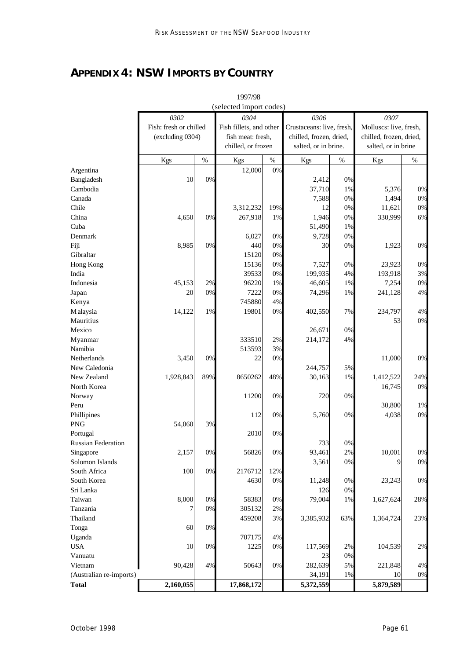# **APPENDIX 4: NSW IMPORTS BY COUNTRY**

|                              |                        |      | 1997/98                 |       |                           |       |                         |      |
|------------------------------|------------------------|------|-------------------------|-------|---------------------------|-------|-------------------------|------|
|                              |                        |      | (selected import codes) |       |                           |       |                         |      |
|                              | 0302                   |      | 0304                    |       | 0306                      |       | 0307                    |      |
|                              | Fish: fresh or chilled |      | Fish fillets, and other |       | Crustaceans: live, fresh, |       | Molluscs: live, fresh,  |      |
|                              | (excluding 0304)       |      | fish meat: fresh,       |       | chilled, frozen, dried,   |       | chilled, frozen, dried, |      |
|                              |                        |      | chilled, or frozen      |       | salted, or in brine.      |       | salted, or in brine     |      |
|                              | Kgs                    | $\%$ | Kgs                     | $\%$  | Kgs                       | $\%$  | Kgs                     | $\%$ |
| Argentina                    |                        |      | 12,000                  | 0%    |                           |       |                         |      |
| Bangladesh                   | 10                     | 0%   |                         |       | 2,412                     | $0\%$ |                         |      |
| Cambodia                     |                        |      |                         |       | 37,710                    | 1%    | 5,376                   | 0%   |
| Canada                       |                        |      |                         |       | 7,588                     | $0\%$ | 1,494                   | 0%   |
| Chile                        |                        |      | 3,312,232               | 19%   | 12                        | 0%    | 11,621                  | 0%   |
| China                        | 4,650                  | 0%   | 267,918                 | 1%    | 1,946                     | $0\%$ | 330,999                 | 6%   |
| Cuba                         |                        |      |                         |       | 51,490                    | 1%    |                         |      |
| Denmark                      |                        |      | 6,027                   | $0\%$ | 9,728                     | 0%    |                         |      |
| Fiji                         | 8,985                  | 0%   | 440                     | $0\%$ | 30                        | 0%    | 1,923                   | 0%   |
| Gibraltar                    |                        |      | 15120                   | $0\%$ |                           |       |                         |      |
| Hong Kong                    |                        |      | 15136                   | $0\%$ | 7,527                     | 0%    | 23,923                  | 0%   |
| India                        |                        |      | 39533                   | $0\%$ | 199,935                   | 4%    | 193,918                 | 3%   |
| Indonesia                    | 45,153                 | 2%   | 96220                   | 1%    | 46,605                    | 1%    | 7,254                   | 0%   |
| Japan                        | 20                     | 0%   | 7222                    | $0\%$ | 74,296                    | 1%    | 241,128                 | 4%   |
| Kenya                        |                        |      | 745880                  | 4%    |                           |       |                         |      |
| Malaysia                     | 14,122                 | 1%   | 19801                   | 0%    | 402,550                   | 7%    | 234,797                 | 4%   |
| Mauritius                    |                        |      |                         |       |                           |       | 53                      | 0%   |
| Mexico                       |                        |      |                         |       | 26,671                    | 0%    |                         |      |
| Myanmar                      |                        |      | 333510                  | 2%    | 214,172                   | 4%    |                         |      |
| Namibia                      |                        |      | 513593                  | 3%    |                           |       |                         |      |
| Netherlands                  | 3,450                  | 0%   | 22                      | 0%    |                           |       | 11,000                  | 0%   |
| New Caledonia                |                        |      |                         |       | 244,757                   | 5%    |                         |      |
| New Zealand                  | 1,928,843              | 89%  | 8650262                 | 48%   | 30,163                    | 1%    | 1,412,522               | 24%  |
| North Korea                  |                        |      |                         |       |                           |       | 16,745                  | 0%   |
| Norway                       |                        |      | 11200                   | 0%    | 720                       | 0%    |                         |      |
| Peru                         |                        |      |                         |       |                           |       | 30,800                  | 1%   |
| Phillipines                  |                        |      | 112                     | 0%    | 5,760                     | 0%    | 4,038                   | 0%   |
| <b>PNG</b>                   | 54,060                 | 3%   |                         |       |                           |       |                         |      |
| Portugal                     |                        |      | 2010                    | $0\%$ |                           |       |                         |      |
| Russian Federation           |                        |      |                         |       | 733                       | 0%    |                         |      |
|                              | 2,157                  | 0%   | 56826                   | $0\%$ | 93,461                    | 2%    | 10,001                  | 0%   |
| Singapore<br>Solomon Islands |                        |      |                         |       | 3,561                     |       | 9                       | 0%   |
| South Africa                 |                        |      |                         |       |                           | 0%    |                         |      |
|                              | 100                    | 0%   | 2176712                 | 12%   |                           |       |                         |      |
| South Korea                  |                        |      | 4630                    | $0\%$ | 11,248                    | $0\%$ | 23,243                  | 0%   |
| Sri Lanka                    | 8,000                  |      |                         |       | 126                       | $0\%$ |                         |      |
| Taiwan                       |                        | 0%   | 58383                   | $0\%$ | 79,004                    | 1%    | 1,627,624               | 28%  |
| Tanzania                     | 7                      | 0%   | 305132                  | $2\%$ |                           |       |                         |      |
| Thailand                     |                        |      | 459208                  | 3%    | 3,385,932                 | 63%   | 1,364,724               | 23%  |
| Tonga                        | 60                     | 0%   |                         |       |                           |       |                         |      |
| Uganda                       |                        |      | 707175                  | 4%    |                           |       |                         |      |
| <b>USA</b>                   | 10                     | 0%   | 1225                    | $0\%$ | 117,569                   | 2%    | 104,539                 | 2%   |
| Vanuatu                      |                        |      |                         |       | 23                        | $0\%$ |                         |      |
| Vietnam                      | 90,428                 | 4%   | 50643                   | $0\%$ | 282,639                   | 5%    | 221,848                 | 4%   |
| (Australian re-imports)      |                        |      |                         |       | 34,191                    | 1%    | 10                      | 0%   |
| <b>Total</b>                 | 2,160,055              |      | 17,868,172              |       | 5,372,559                 |       | 5,879,589               |      |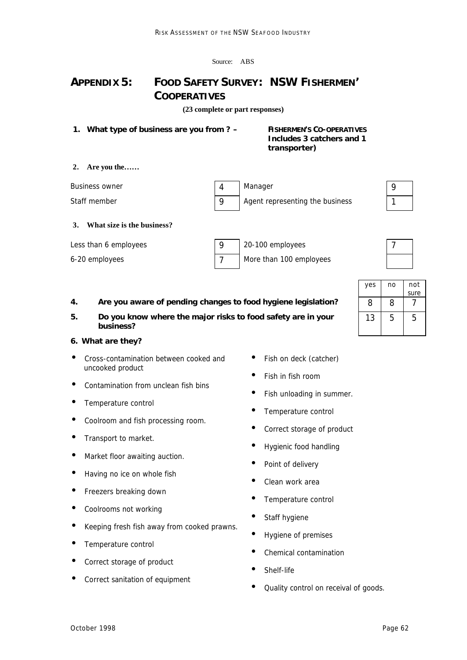| ABS |
|-----|
|     |

# **APPENDIX 5: FOOD SAFETY SURVEY: NSW FISHERMEN' COOPERATIVES**

**(23 complete or part responses)**

**1. What type of business are you from ? – FISHERMEN'S CO-OPERATIVES** 

# **Includes 3 catchers and 1 transporter)**

#### **2. Are you the……**

| Business owner | Manager                         |  |
|----------------|---------------------------------|--|
| Staff member   | Agent representing the business |  |

#### **3. What size is the business?**

| Less than 6 employees | 20-100 employees        |  |
|-----------------------|-------------------------|--|
| 6-20 employees        | More than 100 employees |  |

### **4. Are you aware of pending changes to food hygiene legislation?** 8 8 7

**5. Do you know where the major risks to food safety are in your business?**

#### **6. What are they?**

- Cross-contamination between cooked and uncooked product
- Contamination from unclean fish bins
- Temperature control
- Coolroom and fish processing room.
- **•** Transport to market.
- Market floor awaiting auction.
- Having no ice on whole fish
- Freezers breaking down
- Coolrooms not working
- Keeping fresh fish away from cooked prawns.
- Temperature control
- Correct storage of product
- Correct sanitation of equipment
- Fish on deck (catcher)
- Fish in fish room
- Fish unloading in summer.
- Temperature control
- Correct storage of product
- Hygienic food handling
- Point of delivery
- Clean work area
- Temperature control
- Staff hygiene
- Hygiene of premises
- Chemical contamination
- Shelf-life
- Quality control on receival of goods.

| yes | no | not  |
|-----|----|------|
|     |    | sure |
| 8   | 8  |      |
| 13  | 5  | 5    |
|     |    |      |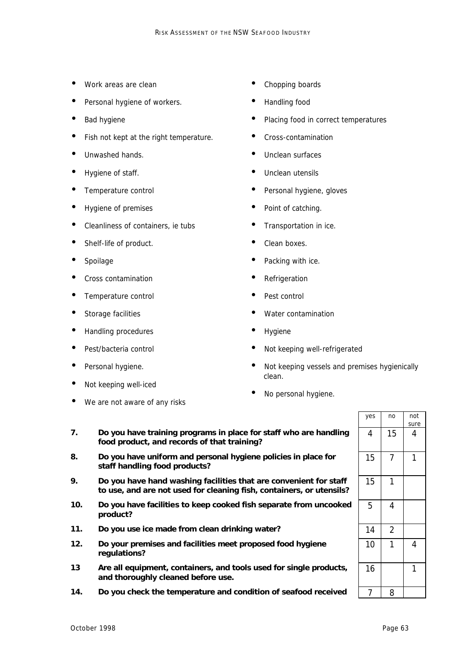- Work areas are clean
- Personal hygiene of workers.
- Bad hygiene
- Fish not kept at the right temperature.
- Unwashed hands.
- Hygiene of staff.
- Temperature control
- Hygiene of premises
- Cleanliness of containers, ie tubs
- Shelf-life of product.
- Spoilage
- Cross contamination
- Temperature control
- Storage facilities
- Handling procedures
- Pest/bacteria control
- Personal hygiene.
- Not keeping well-iced
- We are not aware of any risks
- Chopping boards
- Handling food
- Placing food in correct temperatures
- Cross-contamination
- Unclean surfaces
- Unclean utensils
- Personal hygiene, gloves
- Point of catching.
- Transportation in ice.
- Clean boxes.
- Packing with ice.
- **Refrigeration**
- Pest control
- Water contamination
- **Hygiene**
- Not keeping well-refrigerated
- Not keeping vessels and premises hygienically clean.
- No personal hygiene.
- **7. Do you have training programs in place for staff who are handling food product, and records of that training?**
- **8. Do you have uniform and personal hygiene policies in place for staff handling food products?**
- **9. Do you have hand washing facilities that are convenient for staff to use, and are not used for cleaning fish, containers, or utensils?**
- **10. Do you have facilities to keep cooked fish separate from uncooked product?**
- 11. Do you use ice made from clean drinking water?
- **12. Do your premises and facilities meet proposed food hygiene regulations?**
- **13 Are all equipment, containers, and tools used for single products, and thoroughly cleaned before use.**
- **14. Do you check the temperature and condition of seafood received**

| yes | no             | not<br>sure    |
|-----|----------------|----------------|
| 4   | 15             | 4              |
| 15  | 7              | 1              |
| 15  | 1              |                |
| 5   | 4              |                |
| 14  | $\overline{2}$ |                |
| 10  | 1              | $\overline{4}$ |
| 16  |                | 1              |
| 7   | 8              |                |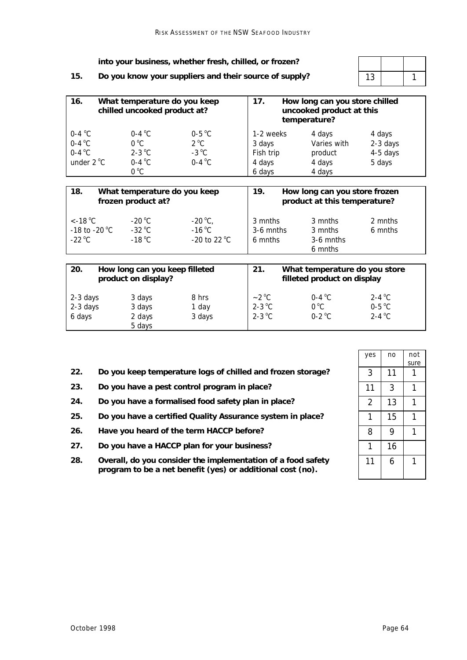|     | into your business, whether fresh, chilled, or frozen? |    |  |  |
|-----|--------------------------------------------------------|----|--|--|
| 15. | Do you know your suppliers and their source of supply? | 13 |  |  |
|     |                                                        |    |  |  |

| 16.<br>What temperature do you keep<br>chilled uncooked product at? |                                                                    |                                                       | 17.<br>How long can you store chilled<br>uncooked product at this<br>temperature? |                                                      |                                          |  |
|---------------------------------------------------------------------|--------------------------------------------------------------------|-------------------------------------------------------|-----------------------------------------------------------------------------------|------------------------------------------------------|------------------------------------------|--|
| $0-4$ °C<br>$0-4$ °C<br>$0-4$ °C<br>under $2^{\circ}$ C             | $0-4$ °C<br>$0^{\circ}$ C<br>$2-3$ °C<br>$0-4$ °C<br>$0^{\circ}$ C | $0-5$ °C<br>$2^{\circ}$ C<br>$-3$ °C<br>$0-4$ °C      | 1-2 weeks<br>3 days<br>Fish trip<br>4 days<br>6 days                              | 4 days<br>Varies with<br>product<br>4 days<br>4 days | 4 days<br>2-3 days<br>4-5 days<br>5 days |  |
| 18.<br>What temperature do you keep<br>frozen product at?           |                                                                    |                                                       | 19.<br>How long can you store frozen<br>product at this temperature?              |                                                      |                                          |  |
| $<$ -18 °C<br>-18 to -20 $^{\circ}$ C<br>$-22^{\circ}$ C            | $-20^{\circ}$ C<br>$-32\text{ °C}$<br>$-18\text{ °C}$              | $-20^{\circ}C$ ,<br>$-16^{\circ}$ C<br>$-20$ to 22 °C | 3 mnths<br>$3-6$ mnths<br>6 mnths                                                 | 3 mnths<br>3 mnths<br>3-6 mnths<br>6 mnths           | 2 mnths<br>6 mnths                       |  |
| 20.<br>How long can you keep filleted<br>product on display?        |                                                                    | 21.                                                   | What temperature do you store<br>filleted product on display                      |                                                      |                                          |  |
| $2.2$ deve                                                          | $2$ doug                                                           | 0 <sub>hr</sub>                                       | 0 <sub>0</sub>                                                                    | 0.10                                                 | 2.10C                                    |  |

| 2-3 days | 3 days | 8 hrs  | $-2$ °C  | $0-4$ °C      | 2-4 $\mathrm{^{\circ}C}$ |
|----------|--------|--------|----------|---------------|--------------------------|
| 2-3 days | 3 days | 1 day  | $2-3$ °C | $0^{\circ}$ C | $0-5$ °C                 |
| 6 days   | 2 days | 3 days | $2-3$ °C | $0-2$ °C      | 2-4 $^{\circ}$ C         |
|          | 5 days |        |          |               |                          |
|          |        |        |          |               |                          |
|          |        |        |          |               |                          |

- 22. Do you keep temperature logs of chilled and frozen storage?
- 23. Do you have a pest control program in place?
- **24. Do you have a formalised food safety plan in place?** 2 13 1
- 25. Do you have a certified Quality Assurance system in place?
- 26. **Have you heard of the term HACCP before?**
- 27. **Do you have a HACCP plan for your business?**
- **28. Overall, do you consider the implementation of a food safety program to be a net benefit (yes) or additional cost (no).**

| yes | no | not<br>sure |
|-----|----|-------------|
| 3   | 11 |             |
| 11  | 3  | 1           |
| 2   | 13 | 1           |
| 1   | 15 |             |
| 8   | 9  |             |
| 1   | 16 |             |
| 11  | 6  |             |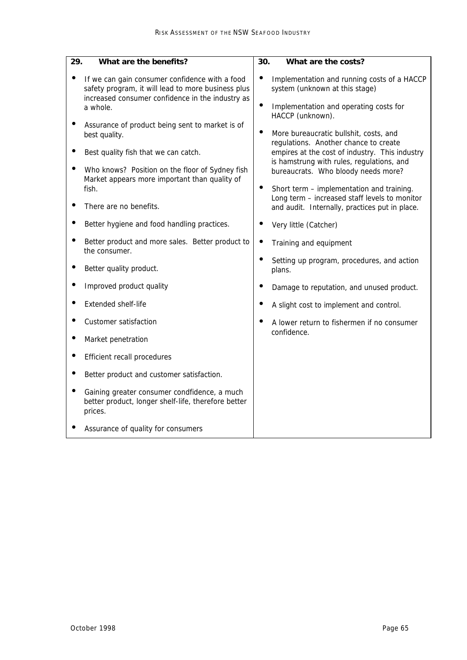| 29.<br>What are the benefits?                                                                                                                                        | 30.<br>What are the costs?                                                                                                                                                                                                                             |
|----------------------------------------------------------------------------------------------------------------------------------------------------------------------|--------------------------------------------------------------------------------------------------------------------------------------------------------------------------------------------------------------------------------------------------------|
| If we can gain consumer confidence with a food<br>safety program, it will lead to more business plus<br>increased consumer confidence in the industry as<br>a whole. | $\bullet$<br>Implementation and running costs of a HACCP<br>system (unknown at this stage)<br>Implementation and operating costs for                                                                                                                   |
| Assurance of product being sent to market is of<br>best quality.<br>Best quality fish that we can catch.<br>Who knows? Position on the floor of Sydney fish          | HACCP (unknown).<br>More bureaucratic bullshit, costs, and<br>$\bullet$<br>regulations. Another chance to create<br>empires at the cost of industry. This industry<br>is hamstrung with rules, regulations, and<br>bureaucrats. Who bloody needs more? |
| Market appears more important than quality of<br>fish.<br>There are no benefits.                                                                                     | Short term - implementation and training.<br>Long term - increased staff levels to monitor<br>and audit. Internally, practices put in place.                                                                                                           |
| Better hygiene and food handling practices.                                                                                                                          | Very little (Catcher)                                                                                                                                                                                                                                  |
| Better product and more sales. Better product to<br>the consumer.                                                                                                    | $\bullet$<br>Training and equipment                                                                                                                                                                                                                    |
| Better quality product.                                                                                                                                              | Setting up program, procedures, and action<br>plans.                                                                                                                                                                                                   |
| Improved product quality                                                                                                                                             | Damage to reputation, and unused product.                                                                                                                                                                                                              |
| Extended shelf-life                                                                                                                                                  | A slight cost to implement and control.                                                                                                                                                                                                                |
| Customer satisfaction                                                                                                                                                | A lower return to fishermen if no consumer                                                                                                                                                                                                             |
| Market penetration                                                                                                                                                   | confidence.                                                                                                                                                                                                                                            |
| Efficient recall procedures                                                                                                                                          |                                                                                                                                                                                                                                                        |
| Better product and customer satisfaction.                                                                                                                            |                                                                                                                                                                                                                                                        |
| Gaining greater consumer condfidence, a much<br>better product, longer shelf-life, therefore better<br>prices.                                                       |                                                                                                                                                                                                                                                        |
| Assurance of quality for consumers                                                                                                                                   |                                                                                                                                                                                                                                                        |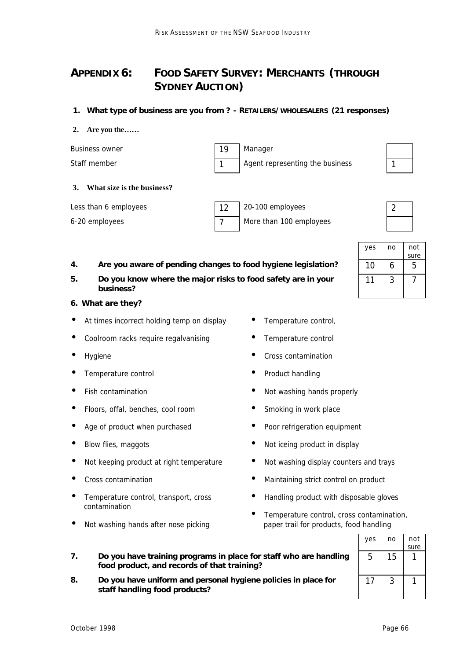# **APPENDIX 6: FOOD SAFETY SURVEY: MERCHANTS (THROUGH SYDNEY AUCTION)**

#### **1. What type of business are you from ? - RETAILERS/WHOLESALERS (21 responses)**

#### **2. Are you the……**

Business owner 19 Manager Staff member 1 1 Agent representing the business 1



#### **3. What size is the business?**

| Less than 6 employees | 20-100 employees        | $\overline{2}$ |
|-----------------------|-------------------------|----------------|
| 6-20 employees        | More than 100 employees |                |



|    |                                                                           | ves      | no | not  |
|----|---------------------------------------------------------------------------|----------|----|------|
|    |                                                                           |          |    | sure |
| 4. | Are you aware of pending changes to food hygiene legislation?             | $10^{-}$ |    |      |
| 5. | Do you know where the major risks to food safety are in your<br>business? |          |    |      |

#### **6. What are they?**

- At times incorrect holding temp on display
- Coolroom racks require regalvanising
- **Hygiene**
- Temperature control
- Fish contamination
- Floors, offal, benches, cool room
- Age of product when purchased
- Blow flies, maggots
- Not keeping product at right temperature
- Cross contamination
- Temperature control, transport, cross contamination
- Not washing hands after nose picking

**staff handling food products?**

**7. Do you have training programs in place for staff who are handling** 

**8. Do you have uniform and personal hygiene policies in place for** 

**food product, and records of that training?**

- Temperature control,
- Temperature control
- Cross contamination
- Product handling
- Not washing hands properly
- Smoking in work place
- Poor refrigeration equipment
- Not iceing product in display
- Not washing display counters and trays
- Maintaining strict control on product
- Handling product with disposable gloves
- Temperature control, cross contamination, paper trail for products, food handling

|     | -- |      |
|-----|----|------|
| yes | no | not  |
|     |    | sure |
| 5   | 15 |      |
| 17  | 3  |      |
|     |    |      |

*October 1998 Page 66*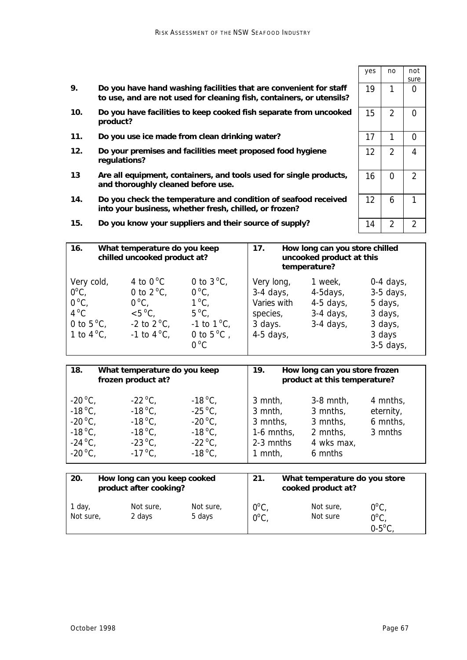- **9. Do you have hand washing facilities that are convenient for staff to use, and are not used for cleaning fish, containers, or utensils?**
- **10. Do you have facilities to keep cooked fish separate from uncooked product?**
- 11. Do you use ice made from clean drinking water?
- **12. Do your premises and facilities meet proposed food hygiene regulations?**

15. Do you know your suppliers and their source of supply?

- **13 Are all equipment, containers, and tools used for single products, and thoroughly cleaned before use.**
- **14. Do you check the temperature and condition of seafood received into your business, whether fresh, chilled, or frozen?**
- **16. What temperature do you keep chilled uncooked product at? 17. How long can you store chilled uncooked product at this temperature?** Very cold,  $0^{\circ}$ C,  $0^{\circ}$ C,  $4^{\circ}$ C 0 to  $5^{\circ}$ C. 1 to  $4^{\circ}$ C, 4 to  $0^{\circ}$ C 0 to  $2^{\circ}$ C.  $0^{\circ}$ C,  $< 5^{\circ}C$ . -2 to  $2^{\circ}$ C, -1 to  $4^{\circ}C$ , 0 to  $3^{\circ}$ C,  $0^{\circ}$ C,  $1^{\circ}$ C,  $5^{\circ}$ C, -1 to  $1^{\circ}$ C, 0 to  $5^{\circ}$ C,  $0^{\circ}$ C Very long, 3-4 days, Varies with species, 3 days. 4-5 days, 1 week, 4-5days, 4-5 days, 3-4 days, 3-4 days, 0-4 days, 3-5 days, 5 days, 3 days, 3 days, 3 days 3-5 days,

| 18.<br>What temperature do you keep<br>frozen product at?                                                            |                                                                                                                      | 19.                                                                                                                  | How long can you store frozen<br>product at this temperature?          |                                                                          |                                              |
|----------------------------------------------------------------------------------------------------------------------|----------------------------------------------------------------------------------------------------------------------|----------------------------------------------------------------------------------------------------------------------|------------------------------------------------------------------------|--------------------------------------------------------------------------|----------------------------------------------|
| $-20^{\circ}$ C,<br>$-18^{\circ}$ C,<br>$-20^{\circ}$ C,<br>$-18^{\circ}$ C.<br>$-24^{\circ}C$ ,<br>$-20^{\circ}$ C, | $-22^{\circ}$ C,<br>$-18^{\circ}$ C.<br>$-18^{\circ}$ C.<br>$-18^{\circ}$ C.<br>$-23^{\circ}$ C,<br>$-17^{\circ}$ C, | $-18^{\circ}$ C,<br>$-25^{\circ}$ C,<br>$-20^{\circ}$ C,<br>$-18^{\circ}$ C.<br>$-22^{\circ}$ C,<br>$-18^{\circ}$ C. | $3$ mnth,<br>3 mnth,<br>3 mnths,<br>1-6 mnths,<br>2-3 mnths<br>1 mnth, | $3-8$ mnth,<br>3 mnths,<br>3 mnths,<br>2 mnths,<br>4 wks max,<br>6 mnths | 4 mnths,<br>eternity,<br>6 mnths,<br>3 mnths |

| 20.                 | How long can you keep cooked<br>product after cooking? |                     | 21.                 | What temperature do you store<br>cooked product at? |                       |                                                 |
|---------------------|--------------------------------------------------------|---------------------|---------------------|-----------------------------------------------------|-----------------------|-------------------------------------------------|
| 1 day,<br>Not sure, |                                                        | Not sure,<br>2 days | Not sure,<br>5 days | $0^{\circ}$ C<br>$0^{\circ}$ C                      | Not sure,<br>Not sure | $0^{\circ}$ C<br>$0^{\circ}$ C<br>$0-5^{\circ}$ |

| yes | no             | not<br>sure    |
|-----|----------------|----------------|
| 19  | 1              | 0              |
| 15  | 2              | 0              |
| 17  | 1              | 0              |
| 12  | $\overline{2}$ | 4              |
| 16  | 0              | $\overline{2}$ |
| 12  | 6              | 1              |
| 14  | $\overline{2}$ | $\overline{2}$ |